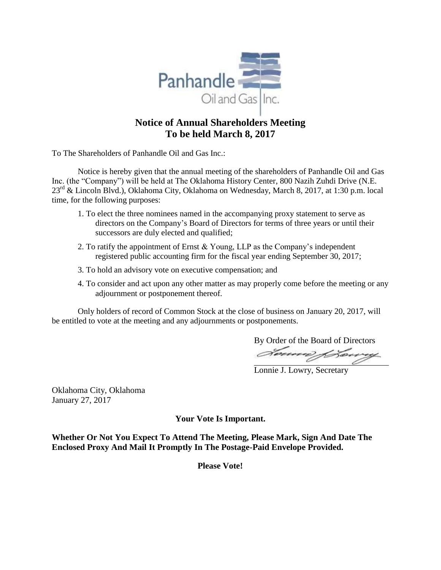

# **Notice of Annual Shareholders Meeting To be held March 8, 2017**

To The Shareholders of Panhandle Oil and Gas Inc.:

Notice is hereby given that the annual meeting of the shareholders of Panhandle Oil and Gas Inc. (the "Company") will be held at The Oklahoma History Center, 800 Nazih Zuhdi Drive (N.E. 23rd & Lincoln Blvd.), Oklahoma City, Oklahoma on Wednesday, March 8, 2017, at 1:30 p.m. local time, for the following purposes:

- 1. To elect the three nominees named in the accompanying proxy statement to serve as directors on the Company's Board of Directors for terms of three years or until their successors are duly elected and qualified;
- 2. To ratify the appointment of Ernst & Young, LLP as the Company's independent registered public accounting firm for the fiscal year ending September 30, 2017;
- 3. To hold an advisory vote on executive compensation; and
- 4. To consider and act upon any other matter as may properly come before the meeting or any adjournment or postponement thereof.

Only holders of record of Common Stock at the close of business on January 20, 2017, will be entitled to vote at the meeting and any adjournments or postponements.

By Order of the Board of Directors

Lonnie J. Lowry, Secretary

Oklahoma City, Oklahoma January 27, 2017

**Your Vote Is Important.**

**Whether Or Not You Expect To Attend The Meeting, Please Mark, Sign And Date The Enclosed Proxy And Mail It Promptly In The Postage-Paid Envelope Provided.**

**Please Vote!**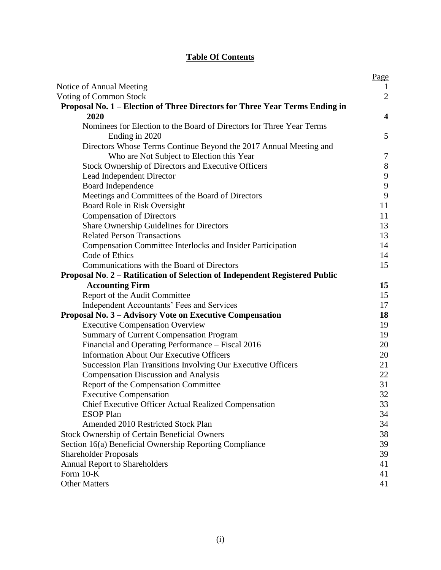# **Table Of Contents**

|                                                                             | Page                    |
|-----------------------------------------------------------------------------|-------------------------|
| Notice of Annual Meeting                                                    | $\perp$                 |
| Voting of Common Stock                                                      | $\overline{2}$          |
| Proposal No. 1 – Election of Three Directors for Three Year Terms Ending in |                         |
| 2020                                                                        | $\overline{\mathbf{4}}$ |
| Nominees for Election to the Board of Directors for Three Year Terms        |                         |
| Ending in 2020                                                              | 5                       |
| Directors Whose Terms Continue Beyond the 2017 Annual Meeting and           |                         |
| Who are Not Subject to Election this Year                                   | 7                       |
| Stock Ownership of Directors and Executive Officers                         | $8\,$                   |
| Lead Independent Director                                                   | 9                       |
| Board Independence                                                          | $\boldsymbol{9}$        |
| Meetings and Committees of the Board of Directors                           | 9                       |
| Board Role in Risk Oversight                                                | 11                      |
| <b>Compensation of Directors</b>                                            | 11                      |
| Share Ownership Guidelines for Directors                                    | 13                      |
| <b>Related Person Transactions</b>                                          | 13                      |
| <b>Compensation Committee Interlocks and Insider Participation</b>          | 14                      |
| Code of Ethics                                                              | 14                      |
| Communications with the Board of Directors                                  | 15                      |
| Proposal No. 2 - Ratification of Selection of Independent Registered Public |                         |
| <b>Accounting Firm</b>                                                      | 15                      |
| Report of the Audit Committee                                               | 15                      |
| Independent Accountants' Fees and Services                                  | 17                      |
| Proposal No. 3 – Advisory Vote on Executive Compensation                    | 18                      |
| <b>Executive Compensation Overview</b>                                      | 19                      |
| <b>Summary of Current Compensation Program</b>                              | 19                      |
| Financial and Operating Performance - Fiscal 2016                           | 20                      |
| <b>Information About Our Executive Officers</b>                             | 20                      |
| Succession Plan Transitions Involving Our Executive Officers                | 21                      |
| <b>Compensation Discussion and Analysis</b>                                 | 22                      |
| Report of the Compensation Committee                                        | 31                      |
| <b>Executive Compensation</b>                                               | 32                      |
| <b>Chief Executive Officer Actual Realized Compensation</b>                 | 33                      |
| <b>ESOP</b> Plan                                                            | 34                      |
| Amended 2010 Restricted Stock Plan                                          | 34                      |
| <b>Stock Ownership of Certain Beneficial Owners</b>                         | 38                      |
| Section 16(a) Beneficial Ownership Reporting Compliance                     | 39                      |
| <b>Shareholder Proposals</b>                                                | 39                      |
| <b>Annual Report to Shareholders</b>                                        | 41                      |
| Form $10-K$                                                                 | 41                      |
| <b>Other Matters</b>                                                        | 41                      |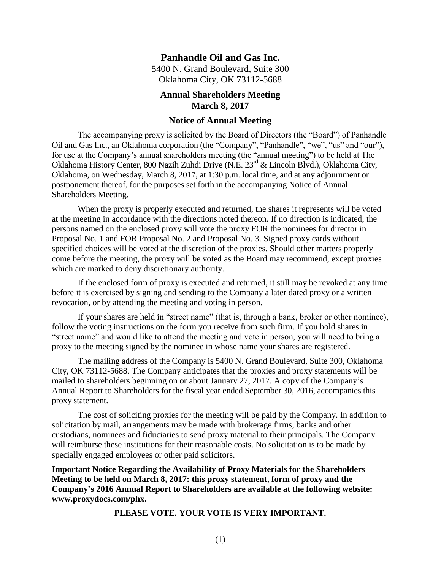# **Panhandle Oil and Gas Inc.**

5400 N. Grand Boulevard, Suite 300 Oklahoma City, OK 73112-5688

# **Annual Shareholders Meeting March 8, 2017**

### <span id="page-2-0"></span>**Notice of Annual Meeting**

The accompanying proxy is solicited by the Board of Directors (the "Board") of Panhandle Oil and Gas Inc., an Oklahoma corporation (the "Company", "Panhandle", "we", "us" and "our"), for use at the Company's annual shareholders meeting (the "annual meeting") to be held at The Oklahoma History Center, 800 Nazih Zuhdi Drive (N.E. 23rd & Lincoln Blvd.), Oklahoma City, Oklahoma, on Wednesday, March 8, 2017, at 1:30 p.m. local time, and at any adjournment or postponement thereof, for the purposes set forth in the accompanying Notice of Annual Shareholders Meeting.

When the proxy is properly executed and returned, the shares it represents will be voted at the meeting in accordance with the directions noted thereon. If no direction is indicated, the persons named on the enclosed proxy will vote the proxy FOR the nominees for director in Proposal No. 1 and FOR Proposal No. 2 and Proposal No. 3. Signed proxy cards without specified choices will be voted at the discretion of the proxies. Should other matters properly come before the meeting, the proxy will be voted as the Board may recommend, except proxies which are marked to deny discretionary authority.

If the enclosed form of proxy is executed and returned, it still may be revoked at any time before it is exercised by signing and sending to the Company a later dated proxy or a written revocation, or by attending the meeting and voting in person.

If your shares are held in "street name" (that is, through a bank, broker or other nominee), follow the voting instructions on the form you receive from such firm. If you hold shares in "street name" and would like to attend the meeting and vote in person, you will need to bring a proxy to the meeting signed by the nominee in whose name your shares are registered.

The mailing address of the Company is 5400 N. Grand Boulevard, Suite 300, Oklahoma City, OK 73112-5688. The Company anticipates that the proxies and proxy statements will be mailed to shareholders beginning on or about January 27, 2017. A copy of the Company's Annual Report to Shareholders for the fiscal year ended September 30, 2016, accompanies this proxy statement.

The cost of soliciting proxies for the meeting will be paid by the Company. In addition to solicitation by mail, arrangements may be made with brokerage firms, banks and other custodians, nominees and fiduciaries to send proxy material to their principals. The Company will reimburse these institutions for their reasonable costs. No solicitation is to be made by specially engaged employees or other paid solicitors.

**Important Notice Regarding the Availability of Proxy Materials for the Shareholders Meeting to be held on March 8, 2017: this proxy statement, form of proxy and the Company's 2016 Annual Report to Shareholders are available at the following website: www.proxydocs.com/phx.**

**PLEASE VOTE. YOUR VOTE IS VERY IMPORTANT.**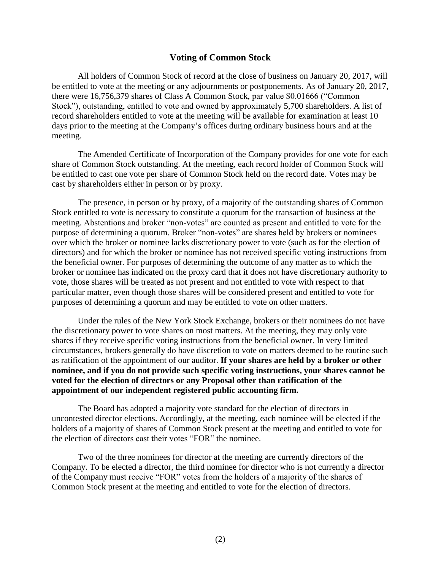### <span id="page-3-0"></span>**Voting of Common Stock**

All holders of Common Stock of record at the close of business on January 20, 2017, will be entitled to vote at the meeting or any adjournments or postponements. As of January 20, 2017, there were 16,756,379 shares of Class A Common Stock, par value \$0.01666 ("Common Stock"), outstanding, entitled to vote and owned by approximately 5,700 shareholders. A list of record shareholders entitled to vote at the meeting will be available for examination at least 10 days prior to the meeting at the Company's offices during ordinary business hours and at the meeting.

The Amended Certificate of Incorporation of the Company provides for one vote for each share of Common Stock outstanding. At the meeting, each record holder of Common Stock will be entitled to cast one vote per share of Common Stock held on the record date. Votes may be cast by shareholders either in person or by proxy.

The presence, in person or by proxy, of a majority of the outstanding shares of Common Stock entitled to vote is necessary to constitute a quorum for the transaction of business at the meeting. Abstentions and broker "non-votes" are counted as present and entitled to vote for the purpose of determining a quorum. Broker "non-votes" are shares held by brokers or nominees over which the broker or nominee lacks discretionary power to vote (such as for the election of directors) and for which the broker or nominee has not received specific voting instructions from the beneficial owner. For purposes of determining the outcome of any matter as to which the broker or nominee has indicated on the proxy card that it does not have discretionary authority to vote, those shares will be treated as not present and not entitled to vote with respect to that particular matter, even though those shares will be considered present and entitled to vote for purposes of determining a quorum and may be entitled to vote on other matters.

Under the rules of the New York Stock Exchange, brokers or their nominees do not have the discretionary power to vote shares on most matters. At the meeting, they may only vote shares if they receive specific voting instructions from the beneficial owner. In very limited circumstances, brokers generally do have discretion to vote on matters deemed to be routine such as ratification of the appointment of our auditor. **If your shares are held by a broker or other nominee, and if you do not provide such specific voting instructions, your shares cannot be voted for the election of directors or any Proposal other than ratification of the appointment of our independent registered public accounting firm.**

The Board has adopted a majority vote standard for the election of directors in uncontested director elections. Accordingly, at the meeting, each nominee will be elected if the holders of a majority of shares of Common Stock present at the meeting and entitled to vote for the election of directors cast their votes "FOR" the nominee.

Two of the three nominees for director at the meeting are currently directors of the Company. To be elected a director, the third nominee for director who is not currently a director of the Company must receive "FOR" votes from the holders of a majority of the shares of Common Stock present at the meeting and entitled to vote for the election of directors.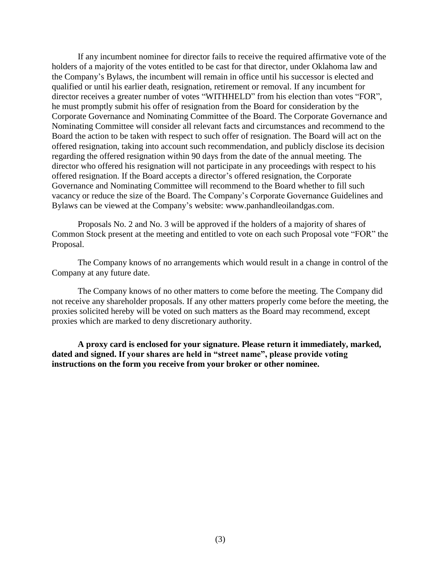If any incumbent nominee for director fails to receive the required affirmative vote of the holders of a majority of the votes entitled to be cast for that director, under Oklahoma law and the Company's Bylaws, the incumbent will remain in office until his successor is elected and qualified or until his earlier death, resignation, retirement or removal. If any incumbent for director receives a greater number of votes "WITHHELD" from his election than votes "FOR", he must promptly submit his offer of resignation from the Board for consideration by the Corporate Governance and Nominating Committee of the Board. The Corporate Governance and Nominating Committee will consider all relevant facts and circumstances and recommend to the Board the action to be taken with respect to such offer of resignation. The Board will act on the offered resignation, taking into account such recommendation, and publicly disclose its decision regarding the offered resignation within 90 days from the date of the annual meeting. The director who offered his resignation will not participate in any proceedings with respect to his offered resignation. If the Board accepts a director's offered resignation, the Corporate Governance and Nominating Committee will recommend to the Board whether to fill such vacancy or reduce the size of the Board. The Company's Corporate Governance Guidelines and Bylaws can be viewed at the Company's website: www.panhandleoilandgas.com.

Proposals No. 2 and No. 3 will be approved if the holders of a majority of shares of Common Stock present at the meeting and entitled to vote on each such Proposal vote "FOR" the Proposal.

The Company knows of no arrangements which would result in a change in control of the Company at any future date.

The Company knows of no other matters to come before the meeting. The Company did not receive any shareholder proposals. If any other matters properly come before the meeting, the proxies solicited hereby will be voted on such matters as the Board may recommend, except proxies which are marked to deny discretionary authority.

**A proxy card is enclosed for your signature. Please return it immediately, marked, dated and signed. If your shares are held in "street name", please provide voting instructions on the form you receive from your broker or other nominee.**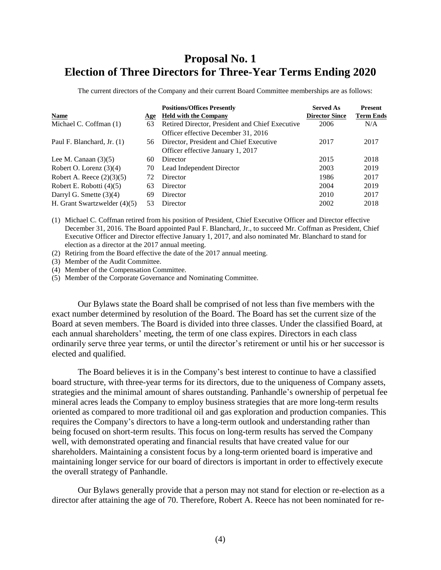# **Proposal No. 1 Election of Three Directors for Three-Year Terms Ending 2020**

<span id="page-5-0"></span>The current directors of the Company and their current Board Committee memberships are as follows:

| <b>Name</b>                    | Age | <b>Positions/Offices Presently</b><br><b>Held with the Company</b> | <b>Served As</b><br><b>Director Since</b> | <b>Present</b><br><b>Term Ends</b> |
|--------------------------------|-----|--------------------------------------------------------------------|-------------------------------------------|------------------------------------|
| Michael C. Coffman (1)         | 63  | Retired Director, President and Chief Executive                    | 2006                                      | N/A                                |
|                                |     | Officer effective December 31, 2016                                |                                           |                                    |
| Paul F. Blanchard, Jr. (1)     | 56. | Director, President and Chief Executive                            | 2017                                      | 2017                               |
|                                |     | Officer effective January 1, 2017                                  |                                           |                                    |
| Lee M. Canaan $(3)(5)$         | 60  | Director                                                           | 2015                                      | 2018                               |
| Robert O. Lorenz $(3)(4)$      | 70  | Lead Independent Director                                          | 2003                                      | 2019                               |
| Robert A. Reece $(2)(3)(5)$    | 72  | Director                                                           | 1986                                      | 2017                               |
| Robert E. Robotti (4)(5)       | 63  | Director                                                           | 2004                                      | 2019                               |
| Darryl G. Smette $(3)(4)$      | 69  | Director                                                           | 2010                                      | 2017                               |
| H. Grant Swartzwelder $(4)(5)$ | 53  | Director                                                           | 2002                                      | 2018                               |

(1) Michael C. Coffman retired from his position of President, Chief Executive Officer and Director effective December 31, 2016. The Board appointed Paul F. Blanchard, Jr., to succeed Mr. Coffman as President, Chief Executive Officer and Director effective January 1, 2017, and also nominated Mr. Blanchard to stand for election as a director at the 2017 annual meeting.

(2) Retiring from the Board effective the date of the 2017 annual meeting.

(3) Member of the Audit Committee.

(4) Member of the Compensation Committee.

(5) Member of the Corporate Governance and Nominating Committee.

Our Bylaws state the Board shall be comprised of not less than five members with the exact number determined by resolution of the Board. The Board has set the current size of the Board at seven members. The Board is divided into three classes. Under the classified Board, at each annual shareholders' meeting, the term of one class expires. Directors in each class ordinarily serve three year terms, or until the director's retirement or until his or her successor is elected and qualified.

The Board believes it is in the Company's best interest to continue to have a classified board structure, with three-year terms for its directors, due to the uniqueness of Company assets, strategies and the minimal amount of shares outstanding. Panhandle's ownership of perpetual fee mineral acres leads the Company to employ business strategies that are more long-term results oriented as compared to more traditional oil and gas exploration and production companies. This requires the Company's directors to have a long-term outlook and understanding rather than being focused on short-term results. This focus on long-term results has served the Company well, with demonstrated operating and financial results that have created value for our shareholders. Maintaining a consistent focus by a long-term oriented board is imperative and maintaining longer service for our board of directors is important in order to effectively execute the overall strategy of Panhandle.

Our Bylaws generally provide that a person may not stand for election or re-election as a director after attaining the age of 70. Therefore, Robert A. Reece has not been nominated for re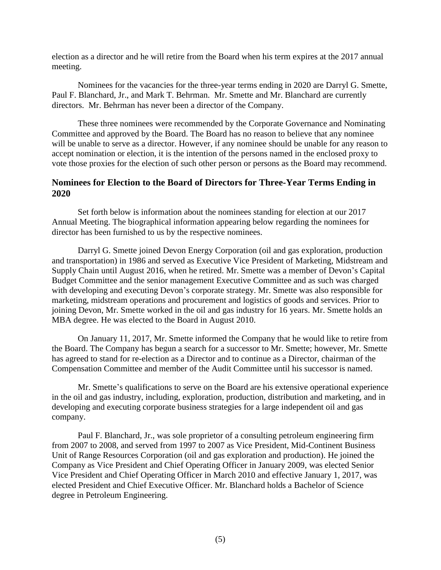election as a director and he will retire from the Board when his term expires at the 2017 annual meeting.

Nominees for the vacancies for the three-year terms ending in 2020 are Darryl G. Smette, Paul F. Blanchard, Jr., and Mark T. Behrman. Mr. Smette and Mr. Blanchard are currently directors. Mr. Behrman has never been a director of the Company.

These three nominees were recommended by the Corporate Governance and Nominating Committee and approved by the Board. The Board has no reason to believe that any nominee will be unable to serve as a director. However, if any nominee should be unable for any reason to accept nomination or election, it is the intention of the persons named in the enclosed proxy to vote those proxies for the election of such other person or persons as the Board may recommend.

# <span id="page-6-0"></span>**Nominees for Election to the Board of Directors for Three-Year Terms Ending in 2020**

Set forth below is information about the nominees standing for election at our 2017 Annual Meeting. The biographical information appearing below regarding the nominees for director has been furnished to us by the respective nominees.

Darryl G. Smette joined Devon Energy Corporation (oil and gas exploration, production and transportation) in 1986 and served as Executive Vice President of Marketing, Midstream and Supply Chain until August 2016, when he retired. Mr. Smette was a member of Devon's Capital Budget Committee and the senior management Executive Committee and as such was charged with developing and executing Devon's corporate strategy. Mr. Smette was also responsible for marketing, midstream operations and procurement and logistics of goods and services. Prior to joining Devon, Mr. Smette worked in the oil and gas industry for 16 years. Mr. Smette holds an MBA degree. He was elected to the Board in August 2010.

On January 11, 2017, Mr. Smette informed the Company that he would like to retire from the Board. The Company has begun a search for a successor to Mr. Smette; however, Mr. Smette has agreed to stand for re-election as a Director and to continue as a Director, chairman of the Compensation Committee and member of the Audit Committee until his successor is named.

Mr. Smette's qualifications to serve on the Board are his extensive operational experience in the oil and gas industry, including, exploration, production, distribution and marketing, and in developing and executing corporate business strategies for a large independent oil and gas company.

Paul F. Blanchard, Jr., was sole proprietor of a consulting petroleum engineering firm from 2007 to 2008, and served from 1997 to 2007 as Vice President, Mid-Continent Business Unit of Range Resources Corporation (oil and gas exploration and production). He joined the Company as Vice President and Chief Operating Officer in January 2009, was elected Senior Vice President and Chief Operating Officer in March 2010 and effective January 1, 2017, was elected President and Chief Executive Officer. Mr. Blanchard holds a Bachelor of Science degree in Petroleum Engineering.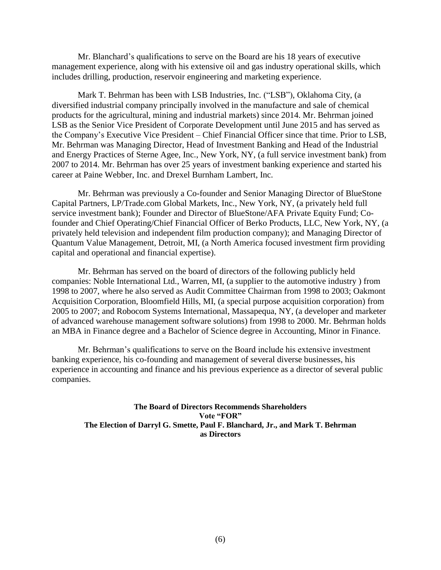Mr. Blanchard's qualifications to serve on the Board are his 18 years of executive management experience, along with his extensive oil and gas industry operational skills, which includes drilling, production, reservoir engineering and marketing experience.

Mark T. Behrman has been with LSB Industries, Inc. ("LSB"), Oklahoma City, (a diversified industrial company principally involved in the manufacture and sale of chemical products for the agricultural, mining and industrial markets) since 2014. Mr. Behrman joined LSB as the Senior Vice President of Corporate Development until June 2015 and has served as the Company's Executive Vice President – Chief Financial Officer since that time. Prior to LSB, Mr. Behrman was Managing Director, Head of Investment Banking and Head of the Industrial and Energy Practices of Sterne Agee, Inc., New York, NY, (a full service investment bank) from 2007 to 2014. Mr. Behrman has over 25 years of investment banking experience and started his career at Paine Webber, Inc. and Drexel Burnham Lambert, Inc.

Mr. Behrman was previously a Co-founder and Senior Managing Director of BlueStone Capital Partners, LP/Trade.com Global Markets, Inc., New York, NY, (a privately held full service investment bank); Founder and Director of BlueStone/AFA Private Equity Fund; Cofounder and Chief Operating/Chief Financial Officer of Berko Products, LLC, New York, NY, (a privately held television and independent film production company); and Managing Director of Quantum Value Management, Detroit, MI, (a North America focused investment firm providing capital and operational and financial expertise).

Mr. Behrman has served on the board of directors of the following publicly held companies: Noble International Ltd., Warren, MI, (a supplier to the automotive industry ) from 1998 to 2007, where he also served as Audit Committee Chairman from 1998 to 2003; Oakmont Acquisition Corporation, Bloomfield Hills, MI, (a special purpose acquisition corporation) from 2005 to 2007; and Robocom Systems International, Massapequa, NY, (a developer and marketer of advanced warehouse management software solutions) from 1998 to 2000. Mr. Behrman holds an MBA in Finance degree and a Bachelor of Science degree in Accounting, Minor in Finance.

Mr. Behrman's qualifications to serve on the Board include his extensive investment banking experience, his co-founding and management of several diverse businesses, his experience in accounting and finance and his previous experience as a director of several public companies.

**The Board of Directors Recommends Shareholders Vote "FOR" The Election of Darryl G. Smette, Paul F. Blanchard, Jr., and Mark T. Behrman as Directors**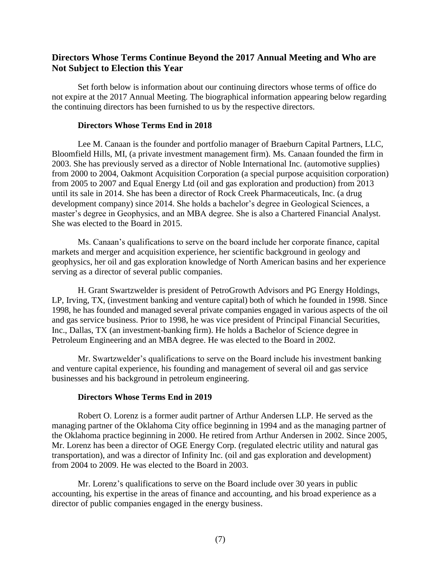# **Directors Whose Terms Continue Beyond the 2017 Annual Meeting and Who are Not Subject to Election this Year**

Set forth below is information about our continuing directors whose terms of office do not expire at the 2017 Annual Meeting. The biographical information appearing below regarding the continuing directors has been furnished to us by the respective directors.

#### <span id="page-8-0"></span>**Directors Whose Terms End in 2018**

Lee M. Canaan is the founder and portfolio manager of Braeburn Capital Partners, LLC, Bloomfield Hills, MI, (a private investment management firm). Ms. Canaan founded the firm in 2003. She has previously served as a director of Noble International Inc. (automotive supplies) from 2000 to 2004, Oakmont Acquisition Corporation (a special purpose acquisition corporation) from 2005 to 2007 and Equal Energy Ltd (oil and gas exploration and production) from 2013 until its sale in 2014. She has been a director of Rock Creek Pharmaceuticals, Inc. (a drug development company) since 2014. She holds a bachelor's degree in Geological Sciences, a master's degree in Geophysics, and an MBA degree. She is also a Chartered Financial Analyst. She was elected to the Board in 2015.

Ms. Canaan's qualifications to serve on the board include her corporate finance, capital markets and merger and acquisition experience, her scientific background in geology and geophysics, her oil and gas exploration knowledge of North American basins and her experience serving as a director of several public companies.

H. Grant Swartzwelder is president of PetroGrowth Advisors and PG Energy Holdings, LP, Irving, TX, (investment banking and venture capital) both of which he founded in 1998. Since 1998, he has founded and managed several private companies engaged in various aspects of the oil and gas service business. Prior to 1998, he was vice president of Principal Financial Securities, Inc., Dallas, TX (an investment-banking firm). He holds a Bachelor of Science degree in Petroleum Engineering and an MBA degree. He was elected to the Board in 2002.

Mr. Swartzwelder's qualifications to serve on the Board include his investment banking and venture capital experience, his founding and management of several oil and gas service businesses and his background in petroleum engineering.

### **Directors Whose Terms End in 2019**

Robert O. Lorenz is a former audit partner of Arthur Andersen LLP. He served as the managing partner of the Oklahoma City office beginning in 1994 and as the managing partner of the Oklahoma practice beginning in 2000. He retired from Arthur Andersen in 2002. Since 2005, Mr. Lorenz has been a director of OGE Energy Corp. (regulated electric utility and natural gas transportation), and was a director of Infinity Inc. (oil and gas exploration and development) from 2004 to 2009. He was elected to the Board in 2003.

Mr. Lorenz's qualifications to serve on the Board include over 30 years in public accounting, his expertise in the areas of finance and accounting, and his broad experience as a director of public companies engaged in the energy business.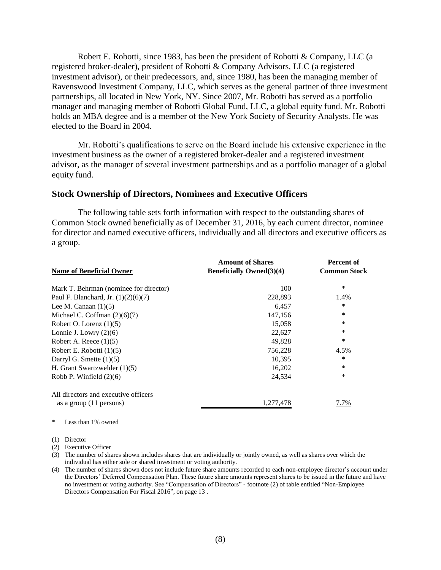Robert E. Robotti, since 1983, has been the president of Robotti & Company, LLC (a registered broker-dealer), president of Robotti & Company Advisors, LLC (a registered investment advisor), or their predecessors, and, since 1980, has been the managing member of Ravenswood Investment Company, LLC, which serves as the general partner of three investment partnerships, all located in New York, NY. Since 2007, Mr. Robotti has served as a portfolio manager and managing member of Robotti Global Fund, LLC, a global equity fund. Mr. Robotti holds an MBA degree and is a member of the New York Society of Security Analysts. He was elected to the Board in 2004.

Mr. Robotti's qualifications to serve on the Board include his extensive experience in the investment business as the owner of a registered broker-dealer and a registered investment advisor, as the manager of several investment partnerships and as a portfolio manager of a global equity fund.

### <span id="page-9-0"></span>**Stock Ownership of Directors, Nominees and Executive Officers**

The following table sets forth information with respect to the outstanding shares of Common Stock owned beneficially as of December 31, 2016, by each current director, nominee for director and named executive officers, individually and all directors and executive officers as a group.

|                                        | <b>Amount of Shares</b>          | <b>Percent of</b>   |
|----------------------------------------|----------------------------------|---------------------|
| <b>Name of Beneficial Owner</b>        | <b>Beneficially Owned</b> (3)(4) | <b>Common Stock</b> |
| Mark T. Behrman (nominee for director) | 100                              | *                   |
| Paul F. Blanchard, Jr. $(1)(2)(6)(7)$  | 228,893                          | 1.4%                |
| Lee M. Canaan $(1)(5)$                 | 6,457                            | *                   |
| Michael C. Coffman $(2)(6)(7)$         | 147,156                          | ∗                   |
| Robert O. Lorenz $(1)(5)$              | 15.058                           | *                   |
| Lonnie J. Lowry $(2)(6)$               | 22,627                           | *                   |
| Robert A. Reece $(1)(5)$               | 49,828                           | *                   |
| Robert E. Robotti $(1)(5)$             | 756,228                          | 4.5%                |
| Darryl G. Smette $(1)(5)$              | 10,395                           | $\ast$              |
| H. Grant Swartzwelder $(1)(5)$         | 16,202                           | *                   |
| Robb P. Winfield $(2)(6)$              | 24.534                           | *                   |
| All directors and executive officers   |                                  |                     |
| as a group (11 persons)                | 1,277,478                        | 7.7%                |

\* Less than 1% owned

(1) Director

(2) Executive Officer

(3) The number of shares shown includes shares that are individually or jointly owned, as well as shares over which the individual has either sole or shared investment or voting authority.

(4) The number of shares shown does not include future share amounts recorded to each non-employee director's account under the Directors' Deferred Compensation Plan. These future share amounts represent shares to be issued in the future and have no investment or voting authority. See "Compensation of Directors" - footnote (2) of table entitled "Non-Employee Directors Compensation For Fiscal 2016", on page 13 .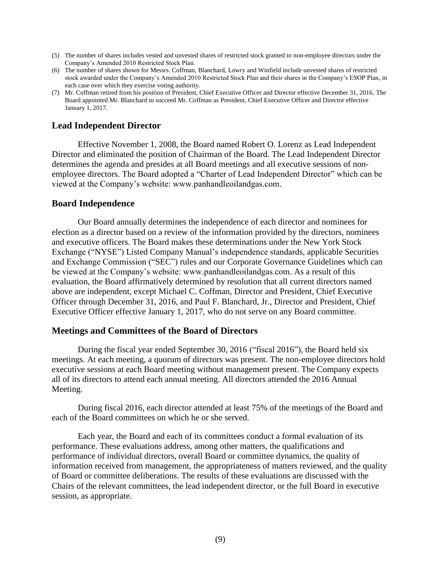- (5) The number of shares includes vested and unvested shares of restricted stock granted to non-employee directors under the Company's Amended 2010 Restricted Stock Plan.
- (6) The number of shares shown for Messrs. Coffman, Blanchard, Lowry and Winfield include unvested shares of restricted stock awarded under the Company's Amended 2010 Restricted Stock Plan and their shares in the Company's ESOP Plan, in each case over which they exercise voting authority.
- (7) Mr. Coffman retired from his position of President, Chief Executive Officer and Director effective December 31, 2016. The Board appointed Mr. Blanchard to succeed Mr. Coffman as President, Chief Executive Officer and Director effective January 1, 2017.

# <span id="page-10-0"></span>**Lead Independent Director**

Effective November 1, 2008, the Board named Robert O. Lorenz as Lead Independent Director and eliminated the position of Chairman of the Board. The Lead Independent Director determines the agenda and presides at all Board meetings and all executive sessions of nonemployee directors. The Board adopted a "Charter of Lead Independent Director" which can be viewed at the Company's website: www.panhandleoilandgas.com.

### <span id="page-10-1"></span>**Board Independence**

Our Board annually determines the independence of each director and nominees for election as a director based on a review of the information provided by the directors, nominees and executive officers. The Board makes these determinations under the New York Stock Exchange ("NYSE") Listed Company Manual's independence standards, applicable Securities and Exchange Commission ("SEC") rules and our Corporate Governance Guidelines which can be viewed at the Company's website: www.panhandleoilandgas.com. As a result of this evaluation, the Board affirmatively determined by resolution that all current directors named above are independent, except Michael C. Coffman, Director and President, Chief Executive Officer through December 31, 2016, and Paul F. Blanchard, Jr., Director and President, Chief Executive Officer effective January 1, 2017, who do not serve on any Board committee.

#### <span id="page-10-2"></span>**Meetings and Committees of the Board of Directors**

During the fiscal year ended September 30, 2016 ("fiscal 2016"), the Board held six meetings. At each meeting, a quorum of directors was present. The non-employee directors hold executive sessions at each Board meeting without management present. The Company expects all of its directors to attend each annual meeting. All directors attended the 2016 Annual Meeting.

During fiscal 2016, each director attended at least 75% of the meetings of the Board and each of the Board committees on which he or she served.

Each year, the Board and each of its committees conduct a formal evaluation of its performance. These evaluations address, among other matters, the qualifications and performance of individual directors, overall Board or committee dynamics, the quality of information received from management, the appropriateness of matters reviewed, and the quality of Board or committee deliberations. The results of these evaluations are discussed with the Chairs of the relevant committees, the lead independent director, or the full Board in executive session, as appropriate.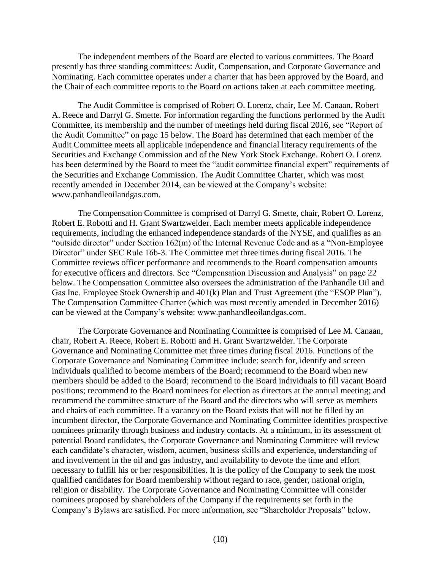The independent members of the Board are elected to various committees. The Board presently has three standing committees: Audit, Compensation, and Corporate Governance and Nominating. Each committee operates under a charter that has been approved by the Board, and the Chair of each committee reports to the Board on actions taken at each committee meeting.

The Audit Committee is comprised of Robert O. Lorenz, chair, Lee M. Canaan, Robert A. Reece and Darryl G. Smette. For information regarding the functions performed by the Audit Committee, its membership and the number of meetings held during fiscal 2016, see "Report of the Audit Committee" on page 15 below. The Board has determined that each member of the Audit Committee meets all applicable independence and financial literacy requirements of the Securities and Exchange Commission and of the New York Stock Exchange. Robert O. Lorenz has been determined by the Board to meet the "audit committee financial expert" requirements of the Securities and Exchange Commission. The Audit Committee Charter, which was most recently amended in December 2014, can be viewed at the Company's website: www.panhandleoilandgas.com.

The Compensation Committee is comprised of Darryl G. Smette, chair, Robert O. Lorenz, Robert E. Robotti and H. Grant Swartzwelder. Each member meets applicable independence requirements, including the enhanced independence standards of the NYSE, and qualifies as an "outside director" under Section 162(m) of the Internal Revenue Code and as a "Non-Employee Director" under SEC Rule 16b-3. The Committee met three times during fiscal 2016. The Committee reviews officer performance and recommends to the Board compensation amounts for executive officers and directors. See "Compensation Discussion and Analysis" on page 22 below. The Compensation Committee also oversees the administration of the Panhandle Oil and Gas Inc. Employee Stock Ownership and 401(k) Plan and Trust Agreement (the "ESOP Plan"). The Compensation Committee Charter (which was most recently amended in December 2016) can be viewed at the Company's website: www.panhandleoilandgas.com.

The Corporate Governance and Nominating Committee is comprised of Lee M. Canaan, chair, Robert A. Reece, Robert E. Robotti and H. Grant Swartzwelder. The Corporate Governance and Nominating Committee met three times during fiscal 2016. Functions of the Corporate Governance and Nominating Committee include: search for, identify and screen individuals qualified to become members of the Board; recommend to the Board when new members should be added to the Board; recommend to the Board individuals to fill vacant Board positions; recommend to the Board nominees for election as directors at the annual meeting; and recommend the committee structure of the Board and the directors who will serve as members and chairs of each committee. If a vacancy on the Board exists that will not be filled by an incumbent director, the Corporate Governance and Nominating Committee identifies prospective nominees primarily through business and industry contacts. At a minimum, in its assessment of potential Board candidates, the Corporate Governance and Nominating Committee will review each candidate's character, wisdom, acumen, business skills and experience, understanding of and involvement in the oil and gas industry, and availability to devote the time and effort necessary to fulfill his or her responsibilities. It is the policy of the Company to seek the most qualified candidates for Board membership without regard to race, gender, national origin, religion or disability. The Corporate Governance and Nominating Committee will consider nominees proposed by shareholders of the Company if the requirements set forth in the Company's Bylaws are satisfied. For more information, see "Shareholder Proposals" below.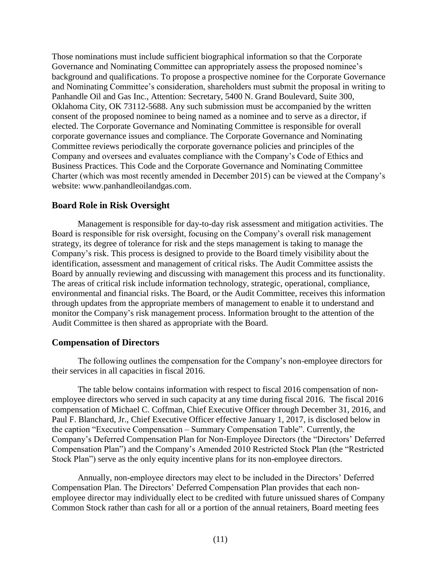Those nominations must include sufficient biographical information so that the Corporate Governance and Nominating Committee can appropriately assess the proposed nominee's background and qualifications. To propose a prospective nominee for the Corporate Governance and Nominating Committee's consideration, shareholders must submit the proposal in writing to Panhandle Oil and Gas Inc., Attention: Secretary, 5400 N. Grand Boulevard, Suite 300, Oklahoma City, OK 73112-5688. Any such submission must be accompanied by the written consent of the proposed nominee to being named as a nominee and to serve as a director, if elected. The Corporate Governance and Nominating Committee is responsible for overall corporate governance issues and compliance. The Corporate Governance and Nominating Committee reviews periodically the corporate governance policies and principles of the Company and oversees and evaluates compliance with the Company's Code of Ethics and Business Practices. This Code and the Corporate Governance and Nominating Committee Charter (which was most recently amended in December 2015) can be viewed at the Company's website: www.panhandleoilandgas.com.

# <span id="page-12-0"></span>**Board Role in Risk Oversight**

Management is responsible for day-to-day risk assessment and mitigation activities. The Board is responsible for risk oversight, focusing on the Company's overall risk management strategy, its degree of tolerance for risk and the steps management is taking to manage the Company's risk. This process is designed to provide to the Board timely visibility about the identification, assessment and management of critical risks. The Audit Committee assists the Board by annually reviewing and discussing with management this process and its functionality. The areas of critical risk include information technology, strategic, operational, compliance, environmental and financial risks. The Board, or the Audit Committee, receives this information through updates from the appropriate members of management to enable it to understand and monitor the Company's risk management process. Information brought to the attention of the Audit Committee is then shared as appropriate with the Board.

# <span id="page-12-1"></span>**Compensation of Directors**

The following outlines the compensation for the Company's non-employee directors for their services in all capacities in fiscal 2016.

The table below contains information with respect to fiscal 2016 compensation of nonemployee directors who served in such capacity at any time during fiscal 2016. The fiscal 2016 compensation of Michael C. Coffman, Chief Executive Officer through December 31, 2016, and Paul F. Blanchard, Jr., Chief Executive Officer effective January 1, 2017, is disclosed below in the caption "Executive Compensation – Summary Compensation Table". Currently, the Company's Deferred Compensation Plan for Non-Employee Directors (the "Directors' Deferred Compensation Plan") and the Company's Amended 2010 Restricted Stock Plan (the "Restricted Stock Plan") serve as the only equity incentive plans for its non-employee directors.

Annually, non-employee directors may elect to be included in the Directors' Deferred Compensation Plan. The Directors' Deferred Compensation Plan provides that each nonemployee director may individually elect to be credited with future unissued shares of Company Common Stock rather than cash for all or a portion of the annual retainers, Board meeting fees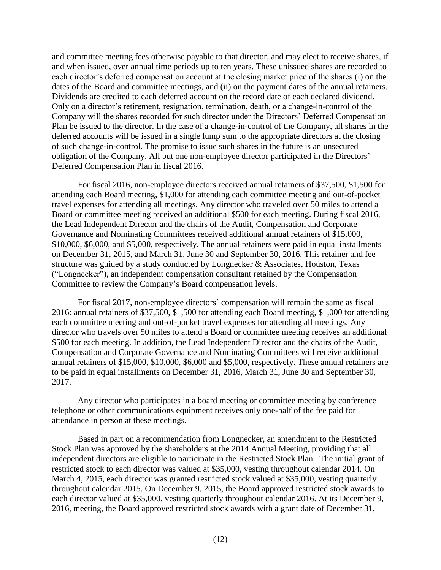and committee meeting fees otherwise payable to that director, and may elect to receive shares, if and when issued, over annual time periods up to ten years. These unissued shares are recorded to each director's deferred compensation account at the closing market price of the shares (i) on the dates of the Board and committee meetings, and (ii) on the payment dates of the annual retainers. Dividends are credited to each deferred account on the record date of each declared dividend. Only on a director's retirement, resignation, termination, death, or a change-in-control of the Company will the shares recorded for such director under the Directors' Deferred Compensation Plan be issued to the director. In the case of a change-in-control of the Company, all shares in the deferred accounts will be issued in a single lump sum to the appropriate directors at the closing of such change-in-control. The promise to issue such shares in the future is an unsecured obligation of the Company. All but one non-employee director participated in the Directors' Deferred Compensation Plan in fiscal 2016.

For fiscal 2016, non-employee directors received annual retainers of \$37,500, \$1,500 for attending each Board meeting, \$1,000 for attending each committee meeting and out-of-pocket travel expenses for attending all meetings. Any director who traveled over 50 miles to attend a Board or committee meeting received an additional \$500 for each meeting. During fiscal 2016, the Lead Independent Director and the chairs of the Audit, Compensation and Corporate Governance and Nominating Committees received additional annual retainers of \$15,000, \$10,000, \$6,000, and \$5,000, respectively. The annual retainers were paid in equal installments on December 31, 2015, and March 31, June 30 and September 30, 2016. This retainer and fee structure was guided by a study conducted by Longnecker & Associates, Houston, Texas ("Longnecker"), an independent compensation consultant retained by the Compensation Committee to review the Company's Board compensation levels.

For fiscal 2017, non-employee directors' compensation will remain the same as fiscal 2016: annual retainers of \$37,500, \$1,500 for attending each Board meeting, \$1,000 for attending each committee meeting and out-of-pocket travel expenses for attending all meetings. Any director who travels over 50 miles to attend a Board or committee meeting receives an additional \$500 for each meeting. In addition, the Lead Independent Director and the chairs of the Audit, Compensation and Corporate Governance and Nominating Committees will receive additional annual retainers of \$15,000, \$10,000, \$6,000 and \$5,000, respectively. These annual retainers are to be paid in equal installments on December 31, 2016, March 31, June 30 and September 30, 2017.

Any director who participates in a board meeting or committee meeting by conference telephone or other communications equipment receives only one-half of the fee paid for attendance in person at these meetings.

Based in part on a recommendation from Longnecker, an amendment to the Restricted Stock Plan was approved by the shareholders at the 2014 Annual Meeting, providing that all independent directors are eligible to participate in the Restricted Stock Plan. The initial grant of restricted stock to each director was valued at \$35,000, vesting throughout calendar 2014. On March 4, 2015, each director was granted restricted stock valued at \$35,000, vesting quarterly throughout calendar 2015. On December 9, 2015, the Board approved restricted stock awards to each director valued at \$35,000, vesting quarterly throughout calendar 2016. At its December 9, 2016, meeting, the Board approved restricted stock awards with a grant date of December 31,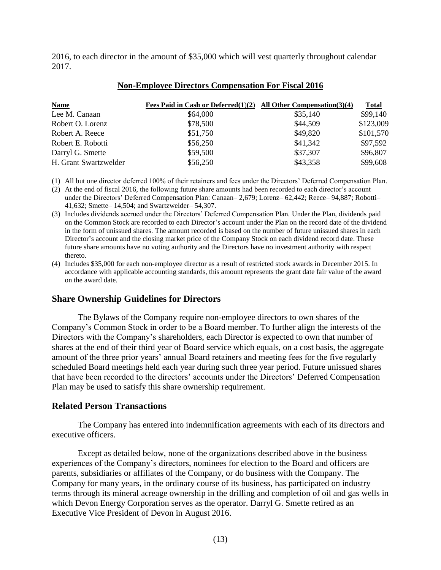2016, to each director in the amount of \$35,000 which will vest quarterly throughout calendar 2017.

| <b>Name</b>           | Fees Paid in Cash or Deferred $(1)(2)$ All Other Compensation $(3)(4)$ |          | <b>Total</b> |
|-----------------------|------------------------------------------------------------------------|----------|--------------|
| Lee M. Canaan         | \$64,000                                                               | \$35,140 | \$99,140     |
| Robert O. Lorenz      | \$78,500                                                               | \$44,509 | \$123,009    |
| Robert A. Reece       | \$51,750                                                               | \$49,820 | \$101,570    |
| Robert E. Robotti     | \$56,250                                                               | \$41,342 | \$97,592     |
| Darryl G. Smette      | \$59,500                                                               | \$37,307 | \$96,807     |
| H. Grant Swartzwelder | \$56,250                                                               | \$43,358 | \$99,608     |

#### **Non-Employee Directors Compensation For Fiscal 2016**

(1) All but one director deferred 100% of their retainers and fees under the Directors' Deferred Compensation Plan.

(2) At the end of fiscal 2016, the following future share amounts had been recorded to each director's account under the Directors' Deferred Compensation Plan: Canaan– 2,679; Lorenz– 62,442; Reece– 94,887; Robotti– 41,632; Smette– 14,504; and Swartzwelder– 54,307.

- (3) Includes dividends accrued under the Directors' Deferred Compensation Plan. Under the Plan, dividends paid on the Common Stock are recorded to each Director's account under the Plan on the record date of the dividend in the form of unissued shares. The amount recorded is based on the number of future unissued shares in each Director's account and the closing market price of the Company Stock on each dividend record date. These future share amounts have no voting authority and the Directors have no investment authority with respect thereto.
- (4) Includes \$35,000 for each non-employee director as a result of restricted stock awards in December 2015. In accordance with applicable accounting standards, this amount represents the grant date fair value of the award on the award date.

## <span id="page-14-0"></span>**Share Ownership Guidelines for Directors**

The Bylaws of the Company require non-employee directors to own shares of the Company's Common Stock in order to be a Board member. To further align the interests of the Directors with the Company's shareholders, each Director is expected to own that number of shares at the end of their third year of Board service which equals, on a cost basis, the aggregate amount of the three prior years' annual Board retainers and meeting fees for the five regularly scheduled Board meetings held each year during such three year period. Future unissued shares that have been recorded to the directors' accounts under the Directors' Deferred Compensation Plan may be used to satisfy this share ownership requirement.

## <span id="page-14-1"></span>**Related Person Transactions**

The Company has entered into indemnification agreements with each of its directors and executive officers.

Except as detailed below, none of the organizations described above in the business experiences of the Company's directors, nominees for election to the Board and officers are parents, subsidiaries or affiliates of the Company, or do business with the Company. The Company for many years, in the ordinary course of its business, has participated on industry terms through its mineral acreage ownership in the drilling and completion of oil and gas wells in which Devon Energy Corporation serves as the operator. Darryl G. Smette retired as an Executive Vice President of Devon in August 2016.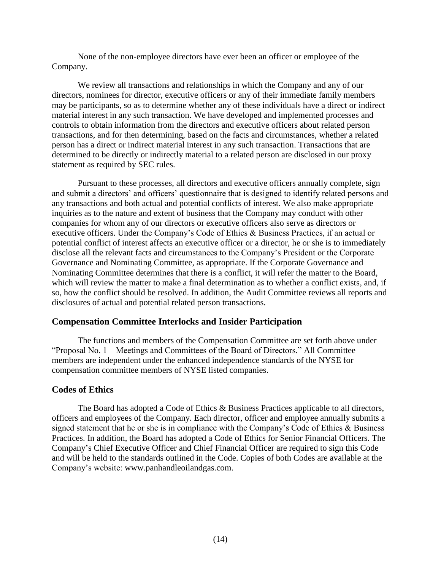None of the non-employee directors have ever been an officer or employee of the Company.

We review all transactions and relationships in which the Company and any of our directors, nominees for director, executive officers or any of their immediate family members may be participants, so as to determine whether any of these individuals have a direct or indirect material interest in any such transaction. We have developed and implemented processes and controls to obtain information from the directors and executive officers about related person transactions, and for then determining, based on the facts and circumstances, whether a related person has a direct or indirect material interest in any such transaction. Transactions that are determined to be directly or indirectly material to a related person are disclosed in our proxy statement as required by SEC rules.

Pursuant to these processes, all directors and executive officers annually complete, sign and submit a directors' and officers' questionnaire that is designed to identify related persons and any transactions and both actual and potential conflicts of interest. We also make appropriate inquiries as to the nature and extent of business that the Company may conduct with other companies for whom any of our directors or executive officers also serve as directors or executive officers. Under the Company's Code of Ethics & Business Practices, if an actual or potential conflict of interest affects an executive officer or a director, he or she is to immediately disclose all the relevant facts and circumstances to the Company's President or the Corporate Governance and Nominating Committee, as appropriate. If the Corporate Governance and Nominating Committee determines that there is a conflict, it will refer the matter to the Board, which will review the matter to make a final determination as to whether a conflict exists, and, if so, how the conflict should be resolved. In addition, the Audit Committee reviews all reports and disclosures of actual and potential related person transactions.

# <span id="page-15-0"></span>**Compensation Committee Interlocks and Insider Participation**

The functions and members of the Compensation Committee are set forth above under "Proposal No. 1 – Meetings and Committees of the Board of Directors." All Committee members are independent under the enhanced independence standards of the NYSE for compensation committee members of NYSE listed companies.

# <span id="page-15-1"></span>**Codes of Ethics**

The Board has adopted a Code of Ethics & Business Practices applicable to all directors, officers and employees of the Company. Each director, officer and employee annually submits a signed statement that he or she is in compliance with the Company's Code of Ethics & Business Practices. In addition, the Board has adopted a Code of Ethics for Senior Financial Officers. The Company's Chief Executive Officer and Chief Financial Officer are required to sign this Code and will be held to the standards outlined in the Code. Copies of both Codes are available at the Company's website: www.panhandleoilandgas.com.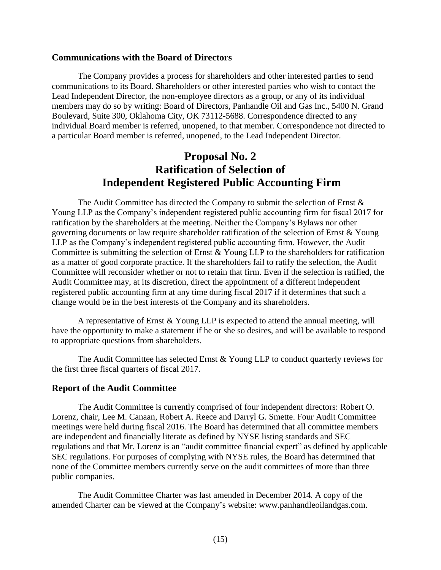## <span id="page-16-0"></span>**Communications with the Board of Directors**

The Company provides a process for shareholders and other interested parties to send communications to its Board. Shareholders or other interested parties who wish to contact the Lead Independent Director, the non-employee directors as a group, or any of its individual members may do so by writing: Board of Directors, Panhandle Oil and Gas Inc., 5400 N. Grand Boulevard, Suite 300, Oklahoma City, OK 73112-5688. Correspondence directed to any individual Board member is referred, unopened, to that member. Correspondence not directed to a particular Board member is referred, unopened, to the Lead Independent Director.

# <span id="page-16-1"></span>**Proposal No. 2 Ratification of Selection of Independent Registered Public Accounting Firm**

The Audit Committee has directed the Company to submit the selection of Ernst & Young LLP as the Company's independent registered public accounting firm for fiscal 2017 for ratification by the shareholders at the meeting. Neither the Company's Bylaws nor other governing documents or law require shareholder ratification of the selection of Ernst & Young LLP as the Company's independent registered public accounting firm. However, the Audit Committee is submitting the selection of Ernst & Young LLP to the shareholders for ratification as a matter of good corporate practice. If the shareholders fail to ratify the selection, the Audit Committee will reconsider whether or not to retain that firm. Even if the selection is ratified, the Audit Committee may, at its discretion, direct the appointment of a different independent registered public accounting firm at any time during fiscal 2017 if it determines that such a change would be in the best interests of the Company and its shareholders.

A representative of Ernst & Young LLP is expected to attend the annual meeting, will have the opportunity to make a statement if he or she so desires, and will be available to respond to appropriate questions from shareholders.

The Audit Committee has selected Ernst & Young LLP to conduct quarterly reviews for the first three fiscal quarters of fiscal 2017.

## <span id="page-16-2"></span>**Report of the Audit Committee**

The Audit Committee is currently comprised of four independent directors: Robert O. Lorenz, chair, Lee M. Canaan, Robert A. Reece and Darryl G. Smette. Four Audit Committee meetings were held during fiscal 2016. The Board has determined that all committee members are independent and financially literate as defined by NYSE listing standards and SEC regulations and that Mr. Lorenz is an "audit committee financial expert" as defined by applicable SEC regulations. For purposes of complying with NYSE rules, the Board has determined that none of the Committee members currently serve on the audit committees of more than three public companies.

The Audit Committee Charter was last amended in December 2014. A copy of the amended Charter can be viewed at the Company's website: www.panhandleoilandgas.com.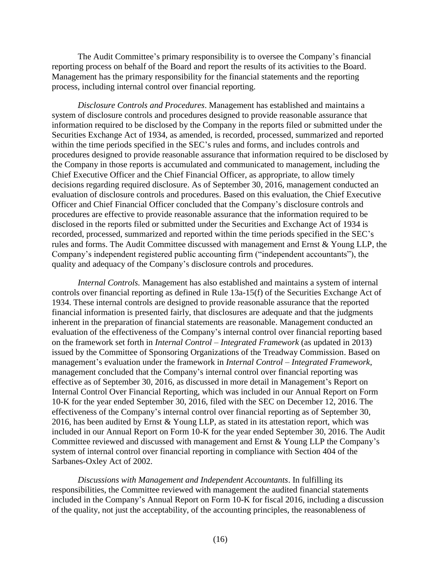The Audit Committee's primary responsibility is to oversee the Company's financial reporting process on behalf of the Board and report the results of its activities to the Board. Management has the primary responsibility for the financial statements and the reporting process, including internal control over financial reporting.

*Disclosure Controls and Procedures*. Management has established and maintains a system of disclosure controls and procedures designed to provide reasonable assurance that information required to be disclosed by the Company in the reports filed or submitted under the Securities Exchange Act of 1934, as amended, is recorded, processed, summarized and reported within the time periods specified in the SEC's rules and forms, and includes controls and procedures designed to provide reasonable assurance that information required to be disclosed by the Company in those reports is accumulated and communicated to management, including the Chief Executive Officer and the Chief Financial Officer, as appropriate, to allow timely decisions regarding required disclosure. As of September 30, 2016, management conducted an evaluation of disclosure controls and procedures. Based on this evaluation, the Chief Executive Officer and Chief Financial Officer concluded that the Company's disclosure controls and procedures are effective to provide reasonable assurance that the information required to be disclosed in the reports filed or submitted under the Securities and Exchange Act of 1934 is recorded, processed, summarized and reported within the time periods specified in the SEC's rules and forms. The Audit Committee discussed with management and Ernst & Young LLP, the Company's independent registered public accounting firm ("independent accountants"), the quality and adequacy of the Company's disclosure controls and procedures.

*Internal Controls.* Management has also established and maintains a system of internal controls over financial reporting as defined in Rule 13a-15(f) of the Securities Exchange Act of 1934. These internal controls are designed to provide reasonable assurance that the reported financial information is presented fairly, that disclosures are adequate and that the judgments inherent in the preparation of financial statements are reasonable. Management conducted an evaluation of the effectiveness of the Company's internal control over financial reporting based on the framework set forth in *Internal Control – Integrated Framework* (as updated in 2013) issued by the Committee of Sponsoring Organizations of the Treadway Commission. Based on management's evaluation under the framework in *Internal Control – Integrated Framework*, management concluded that the Company's internal control over financial reporting was effective as of September 30, 2016, as discussed in more detail in Management's Report on Internal Control Over Financial Reporting, which was included in our Annual Report on Form 10-K for the year ended September 30, 2016, filed with the SEC on December 12, 2016. The effectiveness of the Company's internal control over financial reporting as of September 30, 2016, has been audited by Ernst & Young LLP, as stated in its attestation report, which was included in our Annual Report on Form 10-K for the year ended September 30, 2016. The Audit Committee reviewed and discussed with management and Ernst & Young LLP the Company's system of internal control over financial reporting in compliance with Section 404 of the Sarbanes-Oxley Act of 2002.

*Discussions with Management and Independent Accountants*. In fulfilling its responsibilities, the Committee reviewed with management the audited financial statements included in the Company's Annual Report on Form 10-K for fiscal 2016, including a discussion of the quality, not just the acceptability, of the accounting principles, the reasonableness of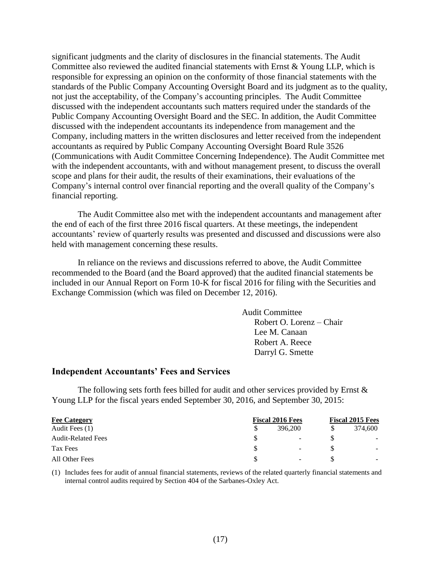significant judgments and the clarity of disclosures in the financial statements. The Audit Committee also reviewed the audited financial statements with Ernst & Young LLP, which is responsible for expressing an opinion on the conformity of those financial statements with the standards of the Public Company Accounting Oversight Board and its judgment as to the quality, not just the acceptability, of the Company's accounting principles. The Audit Committee discussed with the independent accountants such matters required under the standards of the Public Company Accounting Oversight Board and the SEC. In addition, the Audit Committee discussed with the independent accountants its independence from management and the Company, including matters in the written disclosures and letter received from the independent accountants as required by Public Company Accounting Oversight Board Rule 3526 (Communications with Audit Committee Concerning Independence). The Audit Committee met with the independent accountants, with and without management present, to discuss the overall scope and plans for their audit, the results of their examinations, their evaluations of the Company's internal control over financial reporting and the overall quality of the Company's financial reporting.

The Audit Committee also met with the independent accountants and management after the end of each of the first three 2016 fiscal quarters. At these meetings, the independent accountants' review of quarterly results was presented and discussed and discussions were also held with management concerning these results.

In reliance on the reviews and discussions referred to above, the Audit Committee recommended to the Board (and the Board approved) that the audited financial statements be included in our Annual Report on Form 10-K for fiscal 2016 for filing with the Securities and Exchange Commission (which was filed on December 12, 2016).

> Audit Committee Robert O. Lorenz – Chair Lee M. Canaan Robert A. Reece Darryl G. Smette

#### <span id="page-18-0"></span>**Independent Accountants' Fees and Services**

The following sets forth fees billed for audit and other services provided by Ernst  $\&$ Young LLP for the fiscal years ended September 30, 2016, and September 30, 2015:

| <b>Fee Category</b>       | <b>Fiscal 2016 Fees</b> | <b>Fiscal 2015 Fees</b>  |  |         |
|---------------------------|-------------------------|--------------------------|--|---------|
| Audit Fees (1)            |                         | 396,200                  |  | 374.600 |
| <b>Audit-Related Fees</b> | S                       | $\overline{\phantom{a}}$ |  |         |
| Tax Fees                  | \$.                     | $\overline{\phantom{a}}$ |  |         |
| All Other Fees            | S                       | $\overline{\phantom{a}}$ |  |         |

(1) Includes fees for audit of annual financial statements, reviews of the related quarterly financial statements and internal control audits required by Section 404 of the Sarbanes-Oxley Act.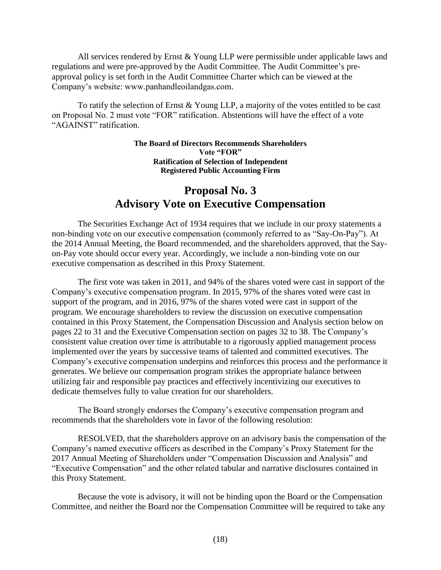All services rendered by Ernst & Young LLP were permissible under applicable laws and regulations and were pre-approved by the Audit Committee. The Audit Committee's preapproval policy is set forth in the Audit Committee Charter which can be viewed at the Company's website: www.panhandleoilandgas.com.

To ratify the selection of Ernst & Young LLP, a majority of the votes entitled to be cast on Proposal No. 2 must vote "FOR" ratification. Abstentions will have the effect of a vote "AGAINST" ratification.

### <span id="page-19-0"></span>**The Board of Directors Recommends Shareholders Vote "FOR" Ratification of Selection of Independent Registered Public Accounting Firm**

# **Proposal No. 3 Advisory Vote on Executive Compensation**

The Securities Exchange Act of 1934 requires that we include in our proxy statements a non-binding vote on our executive compensation (commonly referred to as "Say-On-Pay"). At the 2014 Annual Meeting, the Board recommended, and the shareholders approved, that the Sayon-Pay vote should occur every year. Accordingly, we include a non-binding vote on our executive compensation as described in this Proxy Statement.

The first vote was taken in 2011, and 94% of the shares voted were cast in support of the Company's executive compensation program. In 2015, 97% of the shares voted were cast in support of the program, and in 2016, 97% of the shares voted were cast in support of the program. We encourage shareholders to review the discussion on executive compensation contained in this Proxy Statement, the Compensation Discussion and Analysis section below on pages 22 to 31 and the Executive Compensation section on pages 32 to 38. The Company's consistent value creation over time is attributable to a rigorously applied management process implemented over the years by successive teams of talented and committed executives. The Company's executive compensation underpins and reinforces this process and the performance it generates. We believe our compensation program strikes the appropriate balance between utilizing fair and responsible pay practices and effectively incentivizing our executives to dedicate themselves fully to value creation for our shareholders.

The Board strongly endorses the Company's executive compensation program and recommends that the shareholders vote in favor of the following resolution:

RESOLVED, that the shareholders approve on an advisory basis the compensation of the Company's named executive officers as described in the Company's Proxy Statement for the 2017 Annual Meeting of Shareholders under "Compensation Discussion and Analysis" and "Executive Compensation" and the other related tabular and narrative disclosures contained in this Proxy Statement.

Because the vote is advisory, it will not be binding upon the Board or the Compensation Committee, and neither the Board nor the Compensation Committee will be required to take any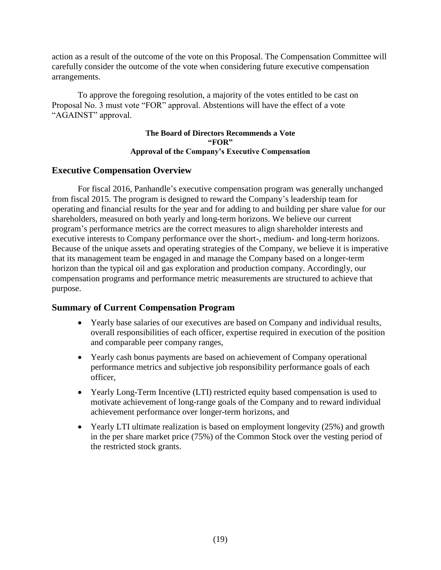action as a result of the outcome of the vote on this Proposal. The Compensation Committee will carefully consider the outcome of the vote when considering future executive compensation arrangements.

To approve the foregoing resolution, a majority of the votes entitled to be cast on Proposal No. 3 must vote "FOR" approval. Abstentions will have the effect of a vote "AGAINST" approval.

### <span id="page-20-0"></span>**The Board of Directors Recommends a Vote "FOR" Approval of the Company's Executive Compensation**

# **Executive Compensation Overview**

For fiscal 2016, Panhandle's executive compensation program was generally unchanged from fiscal 2015. The program is designed to reward the Company's leadership team for operating and financial results for the year and for adding to and building per share value for our shareholders, measured on both yearly and long-term horizons. We believe our current program's performance metrics are the correct measures to align shareholder interests and executive interests to Company performance over the short-, medium- and long-term horizons. Because of the unique assets and operating strategies of the Company, we believe it is imperative that its management team be engaged in and manage the Company based on a longer-term horizon than the typical oil and gas exploration and production company. Accordingly, our compensation programs and performance metric measurements are structured to achieve that purpose.

# **Summary of Current Compensation Program**

- <span id="page-20-1"></span> Yearly base salaries of our executives are based on Company and individual results, overall responsibilities of each officer, expertise required in execution of the position and comparable peer company ranges,
- Yearly cash bonus payments are based on achievement of Company operational performance metrics and subjective job responsibility performance goals of each officer,
- Yearly Long-Term Incentive (LTI) restricted equity based compensation is used to motivate achievement of long-range goals of the Company and to reward individual achievement performance over longer-term horizons, and
- Yearly LTI ultimate realization is based on employment longevity (25%) and growth in the per share market price (75%) of the Common Stock over the vesting period of the restricted stock grants.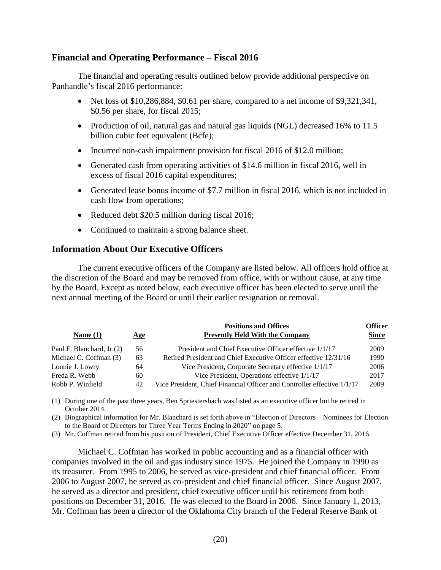# **Financial and Operating Performance – Fiscal 2016**

The financial and operating results outlined below provide additional perspective on Panhandle's fiscal 2016 performance:

- <span id="page-21-0"></span>• Net loss of \$10,286,884, \$0.61 per share, compared to a net income of \$9,321,341, \$0.56 per share, for fiscal 2015;
- Production of oil, natural gas and natural gas liquids (NGL) decreased 16% to 11.5 billion cubic feet equivalent (Bcfe);
- Incurred non-cash impairment provision for fiscal 2016 of \$12.0 million;
- Generated cash from operating activities of \$14.6 million in fiscal 2016, well in excess of fiscal 2016 capital expenditures;
- Generated lease bonus income of \$7.7 million in fiscal 2016, which is not included in cash flow from operations;
- Reduced debt \$20.5 million during fiscal 2016;
- <span id="page-21-1"></span>• Continued to maintain a strong balance sheet.

# **Information About Our Executive Officers**

The current executive officers of the Company are listed below. All officers hold office at the discretion of the Board and may be removed from office, with or without cause, at any time by the Board. Except as noted below, each executive officer has been elected to serve until the next annual meeting of the Board or until their earlier resignation or removal.

| Age | <b>Positions and Offices</b><br><b>Presently Held With the Company</b>  | <b>Officer</b><br><b>Since</b> |
|-----|-------------------------------------------------------------------------|--------------------------------|
| 56  | President and Chief Executive Officer effective 1/1/17                  | 2009                           |
| 63  | Retired President and Chief Executive Officer effective 12/31/16        | 1990                           |
| 64  | Vice President, Corporate Secretary effective 1/1/17                    | 2006                           |
| 60  | Vice President, Operations effective 1/1/17                             | 2017                           |
| 42  | Vice President, Chief Financial Officer and Controller effective 1/1/17 | 2009                           |
|     |                                                                         |                                |

(1) During one of the past three years, Ben Spriestersbach was listed as an executive officer but he retired in October 2014.

(2) Biographical information for Mr. Blanchard is set forth above in "Election of Directors – Nominees for Election to the Board of Directors for Three Year Terms Ending in 2020" on page 5.

(3) Mr. Coffman retired from his position of President, Chief Executive Officer effective December 31, 2016.

Michael C. Coffman has worked in public accounting and as a financial officer with companies involved in the oil and gas industry since 1975. He joined the Company in 1990 as its treasurer. From 1995 to 2006, he served as vice-president and chief financial officer. From 2006 to August 2007, he served as co-president and chief financial officer. Since August 2007, he served as a director and president, chief executive officer until his retirement from both positions on December 31, 2016. He was elected to the Board in 2006. Since January 1, 2013, Mr. Coffman has been a director of the Oklahoma City branch of the Federal Reserve Bank of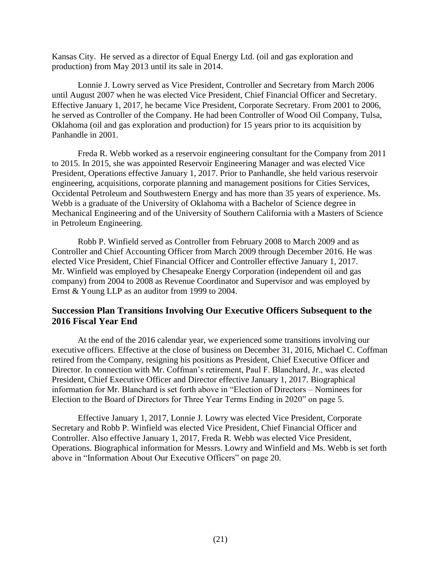Kansas City. He served as a director of Equal Energy Ltd. (oil and gas exploration and production) from May 2013 until its sale in 2014.

Lonnie J. Lowry served as Vice President, Controller and Secretary from March 2006 until August 2007 when he was elected Vice President, Chief Financial Officer and Secretary. Effective January 1, 2017, he became Vice President, Corporate Secretary. From 2001 to 2006, he served as Controller of the Company. He had been Controller of Wood Oil Company, Tulsa, Oklahoma (oil and gas exploration and production) for 15 years prior to its acquisition by Panhandle in 2001.

Freda R. Webb worked as a reservoir engineering consultant for the Company from 2011 to 2015. In 2015, she was appointed Reservoir Engineering Manager and was elected Vice President, Operations effective January 1, 2017. Prior to Panhandle, she held various reservoir engineering, acquisitions, corporate planning and management positions for Cities Services, Occidental Petroleum and Southwestern Energy and has more than 35 years of experience. Ms. Webb is a graduate of the University of Oklahoma with a Bachelor of Science degree in Mechanical Engineering and of the University of Southern California with a Masters of Science in Petroleum Engineering.

Robb P. Winfield served as Controller from February 2008 to March 2009 and as Controller and Chief Accounting Officer from March 2009 through December 2016. He was elected Vice President, Chief Financial Officer and Controller effective January 1, 2017. Mr. Winfield was employed by Chesapeake Energy Corporation (independent oil and gas company) from 2004 to 2008 as Revenue Coordinator and Supervisor and was employed by Ernst & Young LLP as an auditor from 1999 to 2004.

# <span id="page-22-0"></span>**Succession Plan Transitions Involving Our Executive Officers Subsequent to the 2016 Fiscal Year End**

At the end of the 2016 calendar year, we experienced some transitions involving our executive officers. Effective at the close of business on December 31, 2016, Michael C. Coffman retired from the Company, resigning his positions as President, Chief Executive Officer and Director. In connection with Mr. Coffman's retirement, Paul F. Blanchard, Jr., was elected President, Chief Executive Officer and Director effective January 1, 2017. Biographical information for Mr. Blanchard is set forth above in "Election of Directors – Nominees for Election to the Board of Directors for Three Year Terms Ending in 2020" on page 5.

Effective January 1, 2017, Lonnie J. Lowry was elected Vice President, Corporate Secretary and Robb P. Winfield was elected Vice President, Chief Financial Officer and Controller. Also effective January 1, 2017, Freda R. Webb was elected Vice President, Operations. Biographical information for Messrs. Lowry and Winfield and Ms. Webb is set forth above in "Information About Our Executive Officers" on page 20.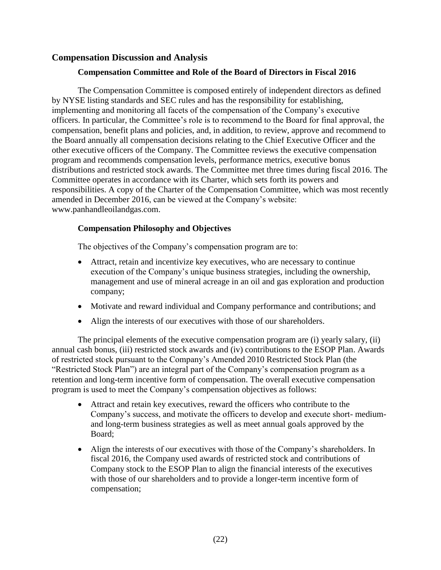# **Compensation Discussion and Analysis**

# <span id="page-23-0"></span>**Compensation Committee and Role of the Board of Directors in Fiscal 2016**

The Compensation Committee is composed entirely of independent directors as defined by NYSE listing standards and SEC rules and has the responsibility for establishing, implementing and monitoring all facets of the compensation of the Company's executive officers. In particular, the Committee's role is to recommend to the Board for final approval, the compensation, benefit plans and policies, and, in addition, to review, approve and recommend to the Board annually all compensation decisions relating to the Chief Executive Officer and the other executive officers of the Company. The Committee reviews the executive compensation program and recommends compensation levels, performance metrics, executive bonus distributions and restricted stock awards. The Committee met three times during fiscal 2016. The Committee operates in accordance with its Charter, which sets forth its powers and responsibilities. A copy of the Charter of the Compensation Committee, which was most recently amended in December 2016, can be viewed at the Company's website: www.panhandleoilandgas.com.

# **Compensation Philosophy and Objectives**

The objectives of the Company's compensation program are to:

- Attract, retain and incentivize key executives, who are necessary to continue execution of the Company's unique business strategies, including the ownership, management and use of mineral acreage in an oil and gas exploration and production company;
- Motivate and reward individual and Company performance and contributions; and
- Align the interests of our executives with those of our shareholders.

The principal elements of the executive compensation program are (i) yearly salary, (ii) annual cash bonus, (iii) restricted stock awards and (iv) contributions to the ESOP Plan. Awards of restricted stock pursuant to the Company's Amended 2010 Restricted Stock Plan (the "Restricted Stock Plan") are an integral part of the Company's compensation program as a retention and long-term incentive form of compensation. The overall executive compensation program is used to meet the Company's compensation objectives as follows:

- Attract and retain key executives, reward the officers who contribute to the Company's success, and motivate the officers to develop and execute short- mediumand long-term business strategies as well as meet annual goals approved by the Board;
- Align the interests of our executives with those of the Company's shareholders. In fiscal 2016, the Company used awards of restricted stock and contributions of Company stock to the ESOP Plan to align the financial interests of the executives with those of our shareholders and to provide a longer-term incentive form of compensation;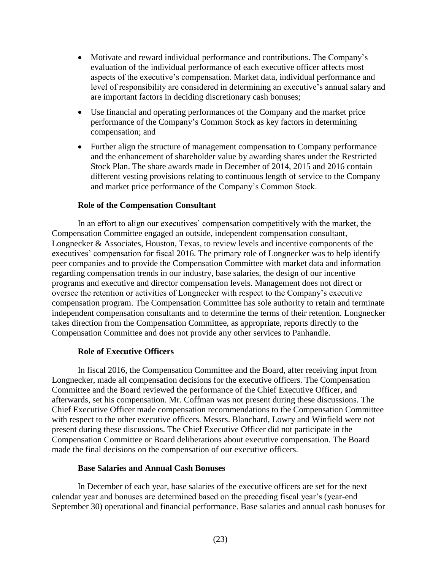- Motivate and reward individual performance and contributions. The Company's evaluation of the individual performance of each executive officer affects most aspects of the executive's compensation. Market data, individual performance and level of responsibility are considered in determining an executive's annual salary and are important factors in deciding discretionary cash bonuses;
- Use financial and operating performances of the Company and the market price performance of the Company's Common Stock as key factors in determining compensation; and
- Further align the structure of management compensation to Company performance and the enhancement of shareholder value by awarding shares under the Restricted Stock Plan. The share awards made in December of 2014, 2015 and 2016 contain different vesting provisions relating to continuous length of service to the Company and market price performance of the Company's Common Stock.

### **Role of the Compensation Consultant**

In an effort to align our executives' compensation competitively with the market, the Compensation Committee engaged an outside, independent compensation consultant, Longnecker & Associates, Houston, Texas, to review levels and incentive components of the executives' compensation for fiscal 2016. The primary role of Longnecker was to help identify peer companies and to provide the Compensation Committee with market data and information regarding compensation trends in our industry, base salaries, the design of our incentive programs and executive and director compensation levels. Management does not direct or oversee the retention or activities of Longnecker with respect to the Company's executive compensation program. The Compensation Committee has sole authority to retain and terminate independent compensation consultants and to determine the terms of their retention. Longnecker takes direction from the Compensation Committee, as appropriate, reports directly to the Compensation Committee and does not provide any other services to Panhandle.

## **Role of Executive Officers**

In fiscal 2016, the Compensation Committee and the Board, after receiving input from Longnecker, made all compensation decisions for the executive officers. The Compensation Committee and the Board reviewed the performance of the Chief Executive Officer, and afterwards, set his compensation. Mr. Coffman was not present during these discussions. The Chief Executive Officer made compensation recommendations to the Compensation Committee with respect to the other executive officers. Messrs. Blanchard, Lowry and Winfield were not present during these discussions. The Chief Executive Officer did not participate in the Compensation Committee or Board deliberations about executive compensation. The Board made the final decisions on the compensation of our executive officers.

### **Base Salaries and Annual Cash Bonuses**

In December of each year, base salaries of the executive officers are set for the next calendar year and bonuses are determined based on the preceding fiscal year's (year-end September 30) operational and financial performance. Base salaries and annual cash bonuses for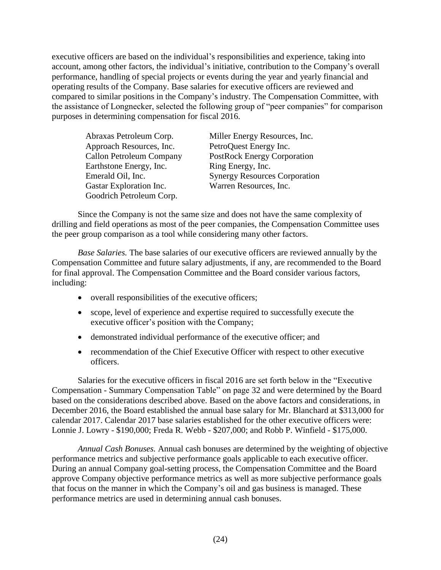executive officers are based on the individual's responsibilities and experience, taking into account, among other factors, the individual's initiative, contribution to the Company's overall performance, handling of special projects or events during the year and yearly financial and operating results of the Company. Base salaries for executive officers are reviewed and compared to similar positions in the Company's industry. The Compensation Committee, with the assistance of Longnecker, selected the following group of "peer companies" for comparison purposes in determining compensation for fiscal 2016.

| Abraxas Petroleum Corp.         | Miller Energy Resources, Inc.        |
|---------------------------------|--------------------------------------|
| Approach Resources, Inc.        | PetroQuest Energy Inc.               |
| <b>Callon Petroleum Company</b> | <b>PostRock Energy Corporation</b>   |
| Earthstone Energy, Inc.         | Ring Energy, Inc.                    |
| Emerald Oil, Inc.               | <b>Synergy Resources Corporation</b> |
| Gastar Exploration Inc.         | Warren Resources, Inc.               |
| Goodrich Petroleum Corp.        |                                      |

Since the Company is not the same size and does not have the same complexity of drilling and field operations as most of the peer companies, the Compensation Committee uses the peer group comparison as a tool while considering many other factors.

*Base Salaries.* The base salaries of our executive officers are reviewed annually by the Compensation Committee and future salary adjustments, if any, are recommended to the Board for final approval. The Compensation Committee and the Board consider various factors, including:

- overall responsibilities of the executive officers;
- scope, level of experience and expertise required to successfully execute the executive officer's position with the Company;
- demonstrated individual performance of the executive officer; and
- recommendation of the Chief Executive Officer with respect to other executive officers.

Salaries for the executive officers in fiscal 2016 are set forth below in the "Executive Compensation - Summary Compensation Table" on page 32 and were determined by the Board based on the considerations described above. Based on the above factors and considerations, in December 2016, the Board established the annual base salary for Mr. Blanchard at \$313,000 for calendar 2017. Calendar 2017 base salaries established for the other executive officers were: Lonnie J. Lowry - \$190,000; Freda R. Webb - \$207,000; and Robb P. Winfield - \$175,000.

*Annual Cash Bonuses.* Annual cash bonuses are determined by the weighting of objective performance metrics and subjective performance goals applicable to each executive officer. During an annual Company goal-setting process, the Compensation Committee and the Board approve Company objective performance metrics as well as more subjective performance goals that focus on the manner in which the Company's oil and gas business is managed. These performance metrics are used in determining annual cash bonuses.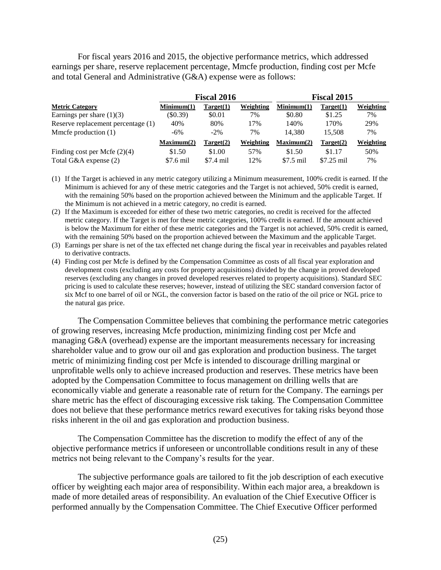For fiscal years 2016 and 2015, the objective performance metrics, which addressed earnings per share, reserve replacement percentage, Mmcfe production, finding cost per Mcfe and total General and Administrative (G&A) expense were as follows:

|                                    |            | <b>Fiscal 2016</b> |           | <b>Fiscal 2015</b> |             |           |
|------------------------------------|------------|--------------------|-----------|--------------------|-------------|-----------|
| <b>Metric Category</b>             | Minimum(1) | Target(1)          | Weighting | Minimum(1)         | Target(1)   | Weighting |
| Earnings per share $(1)(3)$        | (S0.39)    | \$0.01             | 7%        | \$0.80             | \$1.25      | 7%        |
| Reserve replacement percentage (1) | 40%        | 80%                | 17%       | 140%               | 170%        | 29%       |
| Mmcfe production $(1)$             | $-6\%$     | $-2\%$             | 7%        | 14.380             | 15.508      | 7%        |
|                                    | Maximum(2) | Target(2)          | Weighting | Maximum(2)         | Target(2)   | Weighting |
| Finding cost per Mcfe $(2)(4)$     | \$1.50     | \$1.00             | 57%       | \$1.50             | \$1.17      | 50%       |
| Total G&A expense (2)              | \$7.6 mil  | \$7.4 mil          | 12%       | $$7.5$ mil         | $$7.25$ mil | 7%        |

- (1) If the Target is achieved in any metric category utilizing a Minimum measurement, 100% credit is earned. If the Minimum is achieved for any of these metric categories and the Target is not achieved, 50% credit is earned, with the remaining 50% based on the proportion achieved between the Minimum and the applicable Target. If the Minimum is not achieved in a metric category, no credit is earned.
- (2) If the Maximum is exceeded for either of these two metric categories, no credit is received for the affected metric category. If the Target is met for these metric categories, 100% credit is earned. If the amount achieved is below the Maximum for either of these metric categories and the Target is not achieved, 50% credit is earned, with the remaining 50% based on the proportion achieved between the Maximum and the applicable Target.
- (3) Earnings per share is net of the tax effected net change during the fiscal year in receivables and payables related to derivative contracts.
- (4) Finding cost per Mcfe is defined by the Compensation Committee as costs of all fiscal year exploration and development costs (excluding any costs for property acquisitions) divided by the change in proved developed reserves (excluding any changes in proved developed reserves related to property acquisitions). Standard SEC pricing is used to calculate these reserves; however, instead of utilizing the SEC standard conversion factor of six Mcf to one barrel of oil or NGL, the conversion factor is based on the ratio of the oil price or NGL price to the natural gas price.

The Compensation Committee believes that combining the performance metric categories of growing reserves, increasing Mcfe production, minimizing finding cost per Mcfe and managing G&A (overhead) expense are the important measurements necessary for increasing shareholder value and to grow our oil and gas exploration and production business. The target metric of minimizing finding cost per Mcfe is intended to discourage drilling marginal or unprofitable wells only to achieve increased production and reserves. These metrics have been adopted by the Compensation Committee to focus management on drilling wells that are economically viable and generate a reasonable rate of return for the Company. The earnings per share metric has the effect of discouraging excessive risk taking. The Compensation Committee does not believe that these performance metrics reward executives for taking risks beyond those risks inherent in the oil and gas exploration and production business.

The Compensation Committee has the discretion to modify the effect of any of the objective performance metrics if unforeseen or uncontrollable conditions result in any of these metrics not being relevant to the Company's results for the year.

The subjective performance goals are tailored to fit the job description of each executive officer by weighting each major area of responsibility. Within each major area, a breakdown is made of more detailed areas of responsibility. An evaluation of the Chief Executive Officer is performed annually by the Compensation Committee. The Chief Executive Officer performed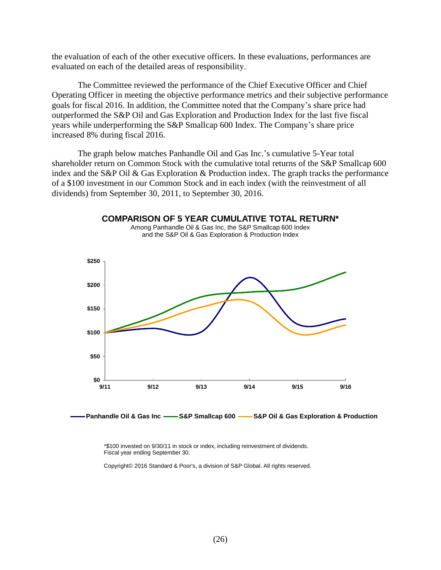the evaluation of each of the other executive officers. In these evaluations, performances are evaluated on each of the detailed areas of responsibility.

The Committee reviewed the performance of the Chief Executive Officer and Chief Operating Officer in meeting the objective performance metrics and their subjective performance goals for fiscal 2016. In addition, the Committee noted that the Company's share price had outperformed the S&P Oil and Gas Exploration and Production Index for the last five fiscal years while underperforming the S&P Smallcap 600 Index. The Company's share price increased 8% during fiscal 2016.

The graph below matches Panhandle Oil and Gas Inc.'s cumulative 5-Year total shareholder return on Common Stock with the cumulative total returns of the S&P Smallcap 600 index and the S&P Oil & Gas Exploration & Production index. The graph tracks the performance of a \$100 investment in our Common Stock and in each index (with the reinvestment of all dividends) from September 30, 2011, to September 30, 2016.

**COMPARISON OF 5 YEAR CUMULATIVE TOTAL RETURN\***



**Panhandle Oil & Gas Inc S&P Smallcap 600 S&P Oil & Gas Exploration & Production**

\*\$100 invested on 9/30/11 in stock or index, including reinvestment of dividends. Fiscal year ending September 30.

Copyright© 2016 Standard & Poor's, a division of S&P Global. All rights reserved.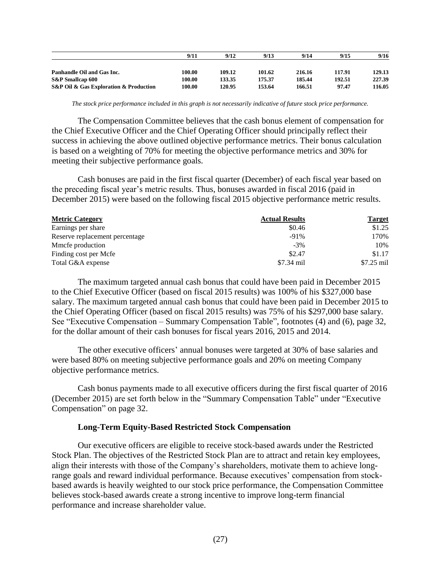|                                                           | 9/11   | 9/12   | 9/13   | 9/14   | 9/15   | 9/16   |
|-----------------------------------------------------------|--------|--------|--------|--------|--------|--------|
|                                                           |        |        |        |        |        |        |
| Panhandle Oil and Gas Inc.                                | 100.00 | 109.12 | 101.62 | 216.16 | 117.91 | 129.13 |
| S&P Smallcap 600                                          | 100.00 | 133.35 | 175.37 | 185.44 | 192.51 | 227.39 |
| <b>S&amp;P Oil &amp; Gas Exploration &amp; Production</b> | 100.00 | 120.95 | 153.64 | 166.51 | 97.47  | 116.05 |

*The stock price performance included in this graph is not necessarily indicative of future stock price performance.*

The Compensation Committee believes that the cash bonus element of compensation for the Chief Executive Officer and the Chief Operating Officer should principally reflect their success in achieving the above outlined objective performance metrics. Their bonus calculation is based on a weighting of 70% for meeting the objective performance metrics and 30% for meeting their subjective performance goals.

Cash bonuses are paid in the first fiscal quarter (December) of each fiscal year based on the preceding fiscal year's metric results. Thus, bonuses awarded in fiscal 2016 (paid in December 2015) were based on the following fiscal 2015 objective performance metric results.

| <b>Metric Category</b>         | <b>Actual Results</b> | <b>Target</b> |
|--------------------------------|-----------------------|---------------|
| Earnings per share             | \$0.46                | \$1.25        |
| Reserve replacement percentage | $-91%$                | 170%          |
| Mmcfe production               | $-3\%$                | 10%           |
| Finding cost per Mcfe          | \$2.47                | \$1.17        |
| Total G&A expense              | \$7.34 mil            | $$7.25$ mil   |

The maximum targeted annual cash bonus that could have been paid in December 2015 to the Chief Executive Officer (based on fiscal 2015 results) was 100% of his \$327,000 base salary. The maximum targeted annual cash bonus that could have been paid in December 2015 to the Chief Operating Officer (based on fiscal 2015 results) was 75% of his \$297,000 base salary. See "Executive Compensation – Summary Compensation Table", footnotes (4) and (6), page 32, for the dollar amount of their cash bonuses for fiscal years 2016, 2015 and 2014.

The other executive officers' annual bonuses were targeted at 30% of base salaries and were based 80% on meeting subjective performance goals and 20% on meeting Company objective performance metrics.

Cash bonus payments made to all executive officers during the first fiscal quarter of 2016 (December 2015) are set forth below in the "Summary Compensation Table" under "Executive Compensation" on page 32.

#### **Long-Term Equity-Based Restricted Stock Compensation**

Our executive officers are eligible to receive stock-based awards under the Restricted Stock Plan. The objectives of the Restricted Stock Plan are to attract and retain key employees, align their interests with those of the Company's shareholders, motivate them to achieve longrange goals and reward individual performance. Because executives' compensation from stockbased awards is heavily weighted to our stock price performance, the Compensation Committee believes stock-based awards create a strong incentive to improve long-term financial performance and increase shareholder value.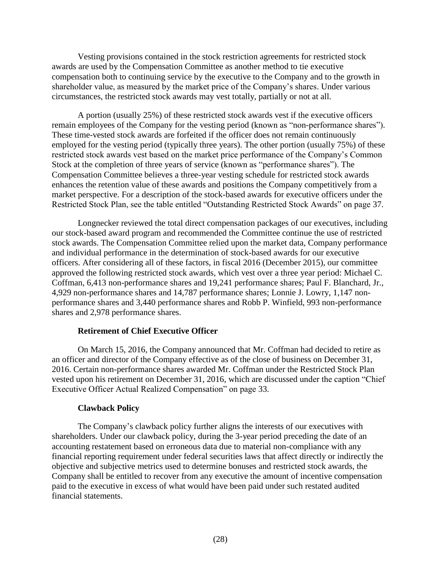Vesting provisions contained in the stock restriction agreements for restricted stock awards are used by the Compensation Committee as another method to tie executive compensation both to continuing service by the executive to the Company and to the growth in shareholder value, as measured by the market price of the Company's shares. Under various circumstances, the restricted stock awards may vest totally, partially or not at all.

A portion (usually 25%) of these restricted stock awards vest if the executive officers remain employees of the Company for the vesting period (known as "non-performance shares"). These time-vested stock awards are forfeited if the officer does not remain continuously employed for the vesting period (typically three years). The other portion (usually 75%) of these restricted stock awards vest based on the market price performance of the Company's Common Stock at the completion of three years of service (known as "performance shares"). The Compensation Committee believes a three-year vesting schedule for restricted stock awards enhances the retention value of these awards and positions the Company competitively from a market perspective. For a description of the stock-based awards for executive officers under the Restricted Stock Plan, see the table entitled "Outstanding Restricted Stock Awards" on page 37.

Longnecker reviewed the total direct compensation packages of our executives, including our stock-based award program and recommended the Committee continue the use of restricted stock awards. The Compensation Committee relied upon the market data, Company performance and individual performance in the determination of stock-based awards for our executive officers. After considering all of these factors, in fiscal 2016 (December 2015), our committee approved the following restricted stock awards, which vest over a three year period: Michael C. Coffman, 6,413 non-performance shares and 19,241 performance shares; Paul F. Blanchard, Jr., 4,929 non-performance shares and 14,787 performance shares; Lonnie J. Lowry, 1,147 nonperformance shares and 3,440 performance shares and Robb P. Winfield, 993 non-performance shares and 2,978 performance shares.

#### **Retirement of Chief Executive Officer**

On March 15, 2016, the Company announced that Mr. Coffman had decided to retire as an officer and director of the Company effective as of the close of business on December 31, 2016. Certain non-performance shares awarded Mr. Coffman under the Restricted Stock Plan vested upon his retirement on December 31, 2016, which are discussed under the caption "Chief Executive Officer Actual Realized Compensation" on page 33.

#### **Clawback Policy**

The Company's clawback policy further aligns the interests of our executives with shareholders. Under our clawback policy, during the 3-year period preceding the date of an accounting restatement based on erroneous data due to material non-compliance with any financial reporting requirement under federal securities laws that affect directly or indirectly the objective and subjective metrics used to determine bonuses and restricted stock awards, the Company shall be entitled to recover from any executive the amount of incentive compensation paid to the executive in excess of what would have been paid under such restated audited financial statements.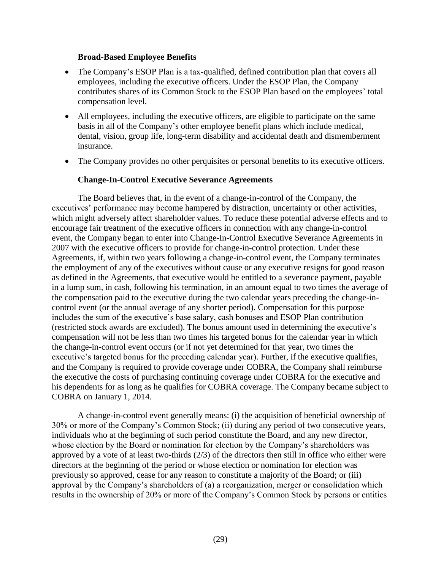### **Broad-Based Employee Benefits**

- The Company's ESOP Plan is a tax-qualified, defined contribution plan that covers all employees, including the executive officers. Under the ESOP Plan, the Company contributes shares of its Common Stock to the ESOP Plan based on the employees' total compensation level.
- All employees, including the executive officers, are eligible to participate on the same basis in all of the Company's other employee benefit plans which include medical, dental, vision, group life, long-term disability and accidental death and dismemberment insurance.
- The Company provides no other perquisites or personal benefits to its executive officers.

# **Change-In-Control Executive Severance Agreements**

The Board believes that, in the event of a change-in-control of the Company, the executives' performance may become hampered by distraction, uncertainty or other activities, which might adversely affect shareholder values. To reduce these potential adverse effects and to encourage fair treatment of the executive officers in connection with any change-in-control event, the Company began to enter into Change-In-Control Executive Severance Agreements in 2007 with the executive officers to provide for change-in-control protection. Under these Agreements, if, within two years following a change-in-control event, the Company terminates the employment of any of the executives without cause or any executive resigns for good reason as defined in the Agreements, that executive would be entitled to a severance payment, payable in a lump sum, in cash, following his termination, in an amount equal to two times the average of the compensation paid to the executive during the two calendar years preceding the change-incontrol event (or the annual average of any shorter period). Compensation for this purpose includes the sum of the executive's base salary, cash bonuses and ESOP Plan contribution (restricted stock awards are excluded). The bonus amount used in determining the executive's compensation will not be less than two times his targeted bonus for the calendar year in which the change-in-control event occurs (or if not yet determined for that year, two times the executive's targeted bonus for the preceding calendar year). Further, if the executive qualifies, and the Company is required to provide coverage under COBRA, the Company shall reimburse the executive the costs of purchasing continuing coverage under COBRA for the executive and his dependents for as long as he qualifies for COBRA coverage. The Company became subject to COBRA on January 1, 2014.

A change-in-control event generally means: (i) the acquisition of beneficial ownership of 30% or more of the Company's Common Stock; (ii) during any period of two consecutive years, individuals who at the beginning of such period constitute the Board, and any new director, whose election by the Board or nomination for election by the Company's shareholders was approved by a vote of at least two-thirds (2/3) of the directors then still in office who either were directors at the beginning of the period or whose election or nomination for election was previously so approved, cease for any reason to constitute a majority of the Board; or (iii) approval by the Company's shareholders of (a) a reorganization, merger or consolidation which results in the ownership of 20% or more of the Company's Common Stock by persons or entities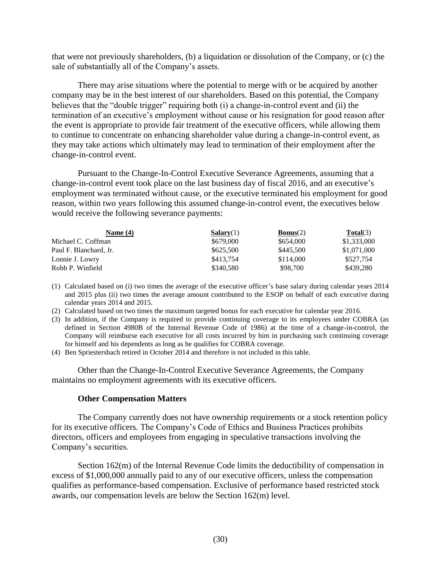that were not previously shareholders, (b) a liquidation or dissolution of the Company, or (c) the sale of substantially all of the Company's assets.

There may arise situations where the potential to merge with or be acquired by another company may be in the best interest of our shareholders. Based on this potential, the Company believes that the "double trigger" requiring both (i) a change-in-control event and (ii) the termination of an executive's employment without cause or his resignation for good reason after the event is appropriate to provide fair treatment of the executive officers, while allowing them to continue to concentrate on enhancing shareholder value during a change-in-control event, as they may take actions which ultimately may lead to termination of their employment after the change-in-control event.

Pursuant to the Change-In-Control Executive Severance Agreements, assuming that a change-in-control event took place on the last business day of fiscal 2016, and an executive's employment was terminated without cause, or the executive terminated his employment for good reason, within two years following this assumed change-in-control event, the executives below would receive the following severance payments:

| Name $(4)$             | Salary(1) | <b>Bonus</b> $(2)$ | Total(3)    |
|------------------------|-----------|--------------------|-------------|
| Michael C. Coffman     | \$679,000 | \$654,000          | \$1,333,000 |
| Paul F. Blanchard, Jr. | \$625,500 | \$445,500          | \$1,071,000 |
| Lonnie J. Lowry        | \$413.754 | \$114,000          | \$527.754   |
| Robb P. Winfield       | \$340,580 | \$98,700           | \$439.280   |

(1) Calculated based on (i) two times the average of the executive officer's base salary during calendar years 2014 and 2015 plus (ii) two times the average amount contributed to the ESOP on behalf of each executive during calendar years 2014 and 2015.

(2) Calculated based on two times the maximum targeted bonus for each executive for calendar year 2016.

- (3) In addition, if the Company is required to provide continuing coverage to its employees under COBRA (as defined in Section 4980B of the Internal Revenue Code of 1986) at the time of a change-in-control, the Company will reimburse each executive for all costs incurred by him in purchasing such continuing coverage for himself and his dependents as long as he qualifies for COBRA coverage.
- (4) Ben Spriestersbach retired in October 2014 and therefore is not included in this table.

Other than the Change-In-Control Executive Severance Agreements, the Company maintains no employment agreements with its executive officers.

#### **Other Compensation Matters**

The Company currently does not have ownership requirements or a stock retention policy for its executive officers. The Company's Code of Ethics and Business Practices prohibits directors, officers and employees from engaging in speculative transactions involving the Company's securities.

Section 162(m) of the Internal Revenue Code limits the deductibility of compensation in excess of \$1,000,000 annually paid to any of our executive officers, unless the compensation qualifies as performance-based compensation. Exclusive of performance based restricted stock awards, our compensation levels are below the Section 162(m) level.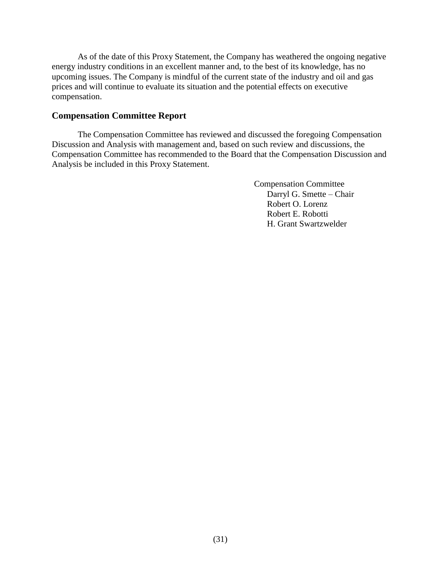As of the date of this Proxy Statement, the Company has weathered the ongoing negative energy industry conditions in an excellent manner and, to the best of its knowledge, has no upcoming issues. The Company is mindful of the current state of the industry and oil and gas prices and will continue to evaluate its situation and the potential effects on executive compensation.

# <span id="page-32-0"></span>**Compensation Committee Report**

The Compensation Committee has reviewed and discussed the foregoing Compensation Discussion and Analysis with management and, based on such review and discussions, the Compensation Committee has recommended to the Board that the Compensation Discussion and Analysis be included in this Proxy Statement.

> Compensation Committee Darryl G. Smette – Chair Robert O. Lorenz Robert E. Robotti H. Grant Swartzwelder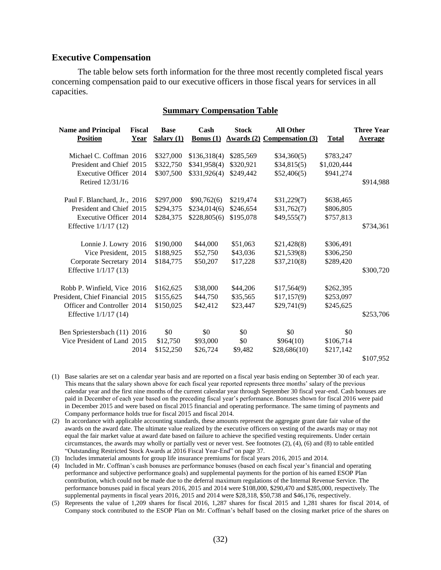### <span id="page-33-0"></span>**Executive Compensation**

The table below sets forth information for the three most recently completed fiscal years concerning compensation paid to our executive officers in those fiscal years for services in all capacities.

#### **Summary Compensation Table**

| <b>Name and Principal</b><br><b>Position</b> | Fiscal<br>Year | <b>Base</b><br>$S$ alary $(1)$ | Cash<br><b>Bonus</b> $(1)$ | <b>Stock</b><br>Awards(2) | <b>All Other</b><br><b>Compensation (3)</b> | <b>Total</b> | <b>Three Year</b><br><b>Average</b> |
|----------------------------------------------|----------------|--------------------------------|----------------------------|---------------------------|---------------------------------------------|--------------|-------------------------------------|
| Michael C. Coffman 2016                      |                | \$327,000                      | \$136,318(4)               | \$285,569                 | \$34,360(5)                                 | \$783,247    |                                     |
| President and Chief 2015                     |                | \$322,750                      | \$341,958(4)               | \$320,921                 | \$34,815(5)                                 | \$1,020,444  |                                     |
| Executive Officer 2014                       |                | \$307,500                      | \$331,926(4)               | \$249,442                 | \$52,406(5)                                 | \$941,274    |                                     |
| Retired 12/31/16                             |                |                                |                            |                           |                                             |              | \$914,988                           |
| Paul F. Blanchard, Jr., 2016                 |                | \$297,000                      | \$90,762(6)                | \$219,474                 | \$31,229(7)                                 | \$638,465    |                                     |
| President and Chief 2015                     |                | \$294,375                      | \$234,014(6)               | \$246,654                 | \$31,762(7)                                 | \$806,805    |                                     |
| <b>Executive Officer 2014</b>                |                | \$284,375                      | \$228,805(6)               | \$195,078                 | \$49,555(7)                                 | \$757,813    |                                     |
| Effective 1/1/17 (12)                        |                |                                |                            |                           |                                             |              | \$734,361                           |
| Lonnie J. Lowry 2016                         |                | \$190,000                      | \$44,000                   | \$51,063                  | \$21,428(8)                                 | \$306,491    |                                     |
| Vice President, 2015                         |                | \$188,925                      | \$52,750                   | \$43,036                  | \$21,539(8)                                 | \$306,250    |                                     |
| Corporate Secretary 2014                     |                | \$184,775                      | \$50,207                   | \$17,228                  | \$37,210(8)                                 | \$289,420    |                                     |
| Effective 1/1/17 (13)                        |                |                                |                            |                           |                                             |              | \$300,720                           |
| Robb P. Winfield, Vice 2016                  |                | \$162,625                      | \$38,000                   | \$44,206                  | \$17,564(9)                                 | \$262,395    |                                     |
| President, Chief Financial 2015              |                | \$155,625                      | \$44,750                   | \$35,565                  | \$17,157(9)                                 | \$253,097    |                                     |
| Officer and Controller 2014                  |                | \$150,025                      | \$42,412                   | \$23,447                  | \$29,741(9)                                 | \$245,625    |                                     |
| Effective 1/1/17 (14)                        |                |                                |                            |                           |                                             |              | \$253,706                           |
| Ben Spriestersbach (11) 2016                 |                | \$0                            | \$0                        | \$0                       | \$0                                         | \$0          |                                     |
| Vice President of Land 2015                  |                | \$12,750                       | \$93,000                   | \$0                       | \$964(10)                                   | \$106,714    |                                     |
|                                              | 2014           | \$152,250                      | \$26,724                   | \$9,482                   | \$28,686(10)                                | \$217,142    |                                     |
|                                              |                |                                |                            |                           |                                             |              | \$107,952                           |

- (1) Base salaries are set on a calendar year basis and are reported on a fiscal year basis ending on September 30 of each year. This means that the salary shown above for each fiscal year reported represents three months' salary of the previous calendar year and the first nine months of the current calendar year through September 30 fiscal year-end. Cash bonuses are paid in December of each year based on the preceding fiscal year's performance. Bonuses shown for fiscal 2016 were paid in December 2015 and were based on fiscal 2015 financial and operating performance. The same timing of payments and Company performance holds true for fiscal 2015 and fiscal 2014.
- (2) In accordance with applicable accounting standards, these amounts represent the aggregate grant date fair value of the awards on the award date. The ultimate value realized by the executive officers on vesting of the awards may or may not equal the fair market value at award date based on failure to achieve the specified vesting requirements. Under certain circumstances, the awards may wholly or partially vest or never vest. See footnotes (2), (4), (6) and (8) to table entitled "Outstanding Restricted Stock Awards at 2016 Fiscal Year-End" on page 37.
- (3) Includes immaterial amounts for group life insurance premiums for fiscal years 2016, 2015 and 2014.
- (4) Included in Mr. Coffman's cash bonuses are performance bonuses (based on each fiscal year's financial and operating performance and subjective performance goals) and supplemental payments for the portion of his earned ESOP Plan contribution, which could not be made due to the deferral maximum regulations of the Internal Revenue Service. The performance bonuses paid in fiscal years 2016, 2015 and 2014 were \$108,000, \$290,470 and \$285,000, respectively. The supplemental payments in fiscal years 2016, 2015 and 2014 were \$28,318, \$50,738 and \$46,176, respectively.
- (5) Represents the value of 1,209 shares for fiscal 2016, 1,287 shares for fiscal 2015 and 1,281 shares for fiscal 2014, of Company stock contributed to the ESOP Plan on Mr. Coffman's behalf based on the closing market price of the shares on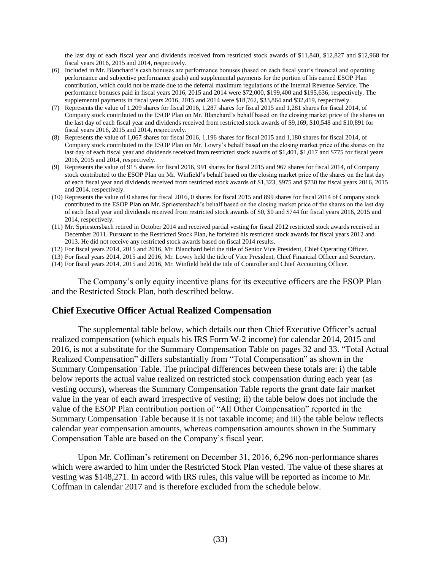the last day of each fiscal year and dividends received from restricted stock awards of \$11,840, \$12,827 and \$12,968 for fiscal years 2016, 2015 and 2014, respectively.

- (6) Included in Mr. Blanchard's cash bonuses are performance bonuses (based on each fiscal year's financial and operating performance and subjective performance goals) and supplemental payments for the portion of his earned ESOP Plan contribution, which could not be made due to the deferral maximum regulations of the Internal Revenue Service. The performance bonuses paid in fiscal years 2016, 2015 and 2014 were \$72,000, \$199,400 and \$195,636, respectively. The supplemental payments in fiscal years 2016, 2015 and 2014 were \$18,762, \$33,864 and \$32,419, respectively.
- (7) Represents the value of 1,209 shares for fiscal 2016, 1,287 shares for fiscal 2015 and 1,281 shares for fiscal 2014, of Company stock contributed to the ESOP Plan on Mr. Blanchard's behalf based on the closing market price of the shares on the last day of each fiscal year and dividends received from restricted stock awards of \$9,169, \$10,548 and \$10,891 for fiscal years 2016, 2015 and 2014, respectively.
- (8) Represents the value of 1,067 shares for fiscal 2016, 1,196 shares for fiscal 2015 and 1,180 shares for fiscal 2014, of Company stock contributed to the ESOP Plan on Mr. Lowry's behalf based on the closing market price of the shares on the last day of each fiscal year and dividends received from restricted stock awards of \$1,401, \$1,017 and \$775 for fiscal years 2016, 2015 and 2014, respectively.
- (9) Represents the value of 915 shares for fiscal 2016, 991 shares for fiscal 2015 and 967 shares for fiscal 2014, of Company stock contributed to the ESOP Plan on Mr. Winfield's behalf based on the closing market price of the shares on the last day of each fiscal year and dividends received from restricted stock awards of \$1,323, \$975 and \$730 for fiscal years 2016, 2015 and 2014, respectively.
- (10) Represents the value of 0 shares for fiscal 2016, 0 shares for fiscal 2015 and 899 shares for fiscal 2014 of Company stock contributed to the ESOP Plan on Mr. Spriestersbach's behalf based on the closing market price of the shares on the last day of each fiscal year and dividends received from restricted stock awards of \$0, \$0 and \$744 for fiscal years 2016, 2015 and 2014, respectively.
- (11) Mr. Spriestersbach retired in October 2014 and received partial vesting for fiscal 2012 restricted stock awards received in December 2011. Pursuant to the Restricted Stock Plan, he forfeited his restricted stock awards for fiscal years 2012 and 2013. He did not receive any restricted stock awards based on fiscal 2014 results.
- (12) For fiscal years 2014, 2015 and 2016, Mr. Blanchard held the title of Senior Vice President, Chief Operating Officer.
- (13) For fiscal years 2014, 2015 and 2016, Mr. Lowry held the title of Vice President, Chief Financial Officer and Secretary.
- (14) For fiscal years 2014, 2015 and 2016, Mr. Winfield held the title of Controller and Chief Accounting Officer.

The Company's only equity incentive plans for its executive officers are the ESOP Plan and the Restricted Stock Plan, both described below.

#### <span id="page-34-0"></span>**Chief Executive Officer Actual Realized Compensation**

The supplemental table below, which details our then Chief Executive Officer's actual realized compensation (which equals his IRS Form W-2 income) for calendar 2014, 2015 and 2016, is not a substitute for the Summary Compensation Table on pages 32 and 33. "Total Actual Realized Compensation" differs substantially from "Total Compensation" as shown in the Summary Compensation Table. The principal differences between these totals are: i) the table below reports the actual value realized on restricted stock compensation during each year (as vesting occurs), whereas the Summary Compensation Table reports the grant date fair market value in the year of each award irrespective of vesting; ii) the table below does not include the value of the ESOP Plan contribution portion of "All Other Compensation" reported in the Summary Compensation Table because it is not taxable income; and iii) the table below reflects calendar year compensation amounts, whereas compensation amounts shown in the Summary Compensation Table are based on the Company's fiscal year.

Upon Mr. Coffman's retirement on December 31, 2016, 6,296 non-performance shares which were awarded to him under the Restricted Stock Plan vested. The value of these shares at vesting was \$148,271. In accord with IRS rules, this value will be reported as income to Mr. Coffman in calendar 2017 and is therefore excluded from the schedule below.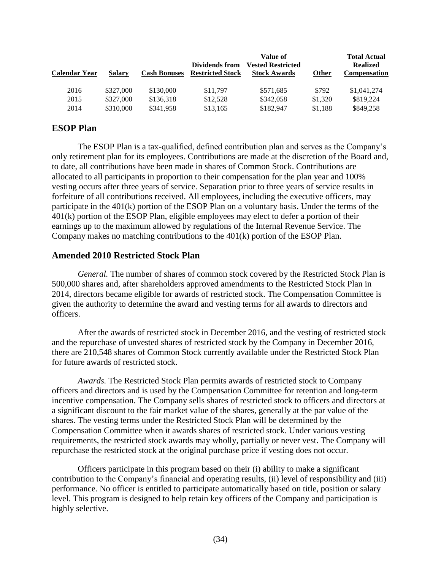| Calendar Year | Salary    | <b>Cash Bonuses</b> | Dividends from<br><b>Restricted Stock</b> | Value of<br><b>Vested Restricted</b><br><b>Stock Awards</b> | <b>Other</b> | <b>Total Actual</b><br><b>Realized</b><br><b>Compensation</b> |
|---------------|-----------|---------------------|-------------------------------------------|-------------------------------------------------------------|--------------|---------------------------------------------------------------|
| 2016          | \$327,000 | \$130,000           | \$11.797                                  | \$571,685                                                   | \$792        | \$1,041,274                                                   |
| 2015          | \$327,000 | \$136,318           | \$12,528                                  | \$342,058                                                   | \$1,320      | \$819,224                                                     |
| 2014          | \$310,000 | \$341,958           | \$13,165                                  | \$182,947                                                   | \$1.188      | \$849,258                                                     |

# <span id="page-35-0"></span>**ESOP Plan**

The ESOP Plan is a tax-qualified, defined contribution plan and serves as the Company's only retirement plan for its employees. Contributions are made at the discretion of the Board and, to date, all contributions have been made in shares of Common Stock. Contributions are allocated to all participants in proportion to their compensation for the plan year and 100% vesting occurs after three years of service. Separation prior to three years of service results in forfeiture of all contributions received. All employees, including the executive officers, may participate in the 401(k) portion of the ESOP Plan on a voluntary basis. Under the terms of the 401(k) portion of the ESOP Plan, eligible employees may elect to defer a portion of their earnings up to the maximum allowed by regulations of the Internal Revenue Service. The Company makes no matching contributions to the 401(k) portion of the ESOP Plan.

## <span id="page-35-1"></span>**Amended 2010 Restricted Stock Plan**

*General.* The number of shares of common stock covered by the Restricted Stock Plan is 500,000 shares and, after shareholders approved amendments to the Restricted Stock Plan in 2014, directors became eligible for awards of restricted stock. The Compensation Committee is given the authority to determine the award and vesting terms for all awards to directors and officers.

After the awards of restricted stock in December 2016, and the vesting of restricted stock and the repurchase of unvested shares of restricted stock by the Company in December 2016, there are 210,548 shares of Common Stock currently available under the Restricted Stock Plan for future awards of restricted stock.

*Awards.* The Restricted Stock Plan permits awards of restricted stock to Company officers and directors and is used by the Compensation Committee for retention and long-term incentive compensation. The Company sells shares of restricted stock to officers and directors at a significant discount to the fair market value of the shares, generally at the par value of the shares. The vesting terms under the Restricted Stock Plan will be determined by the Compensation Committee when it awards shares of restricted stock. Under various vesting requirements, the restricted stock awards may wholly, partially or never vest. The Company will repurchase the restricted stock at the original purchase price if vesting does not occur.

Officers participate in this program based on their (i) ability to make a significant contribution to the Company's financial and operating results, (ii) level of responsibility and (iii) performance. No officer is entitled to participate automatically based on title, position or salary level. This program is designed to help retain key officers of the Company and participation is highly selective.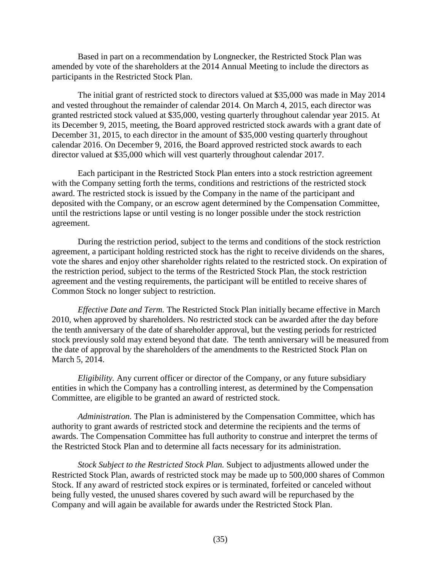Based in part on a recommendation by Longnecker, the Restricted Stock Plan was amended by vote of the shareholders at the 2014 Annual Meeting to include the directors as participants in the Restricted Stock Plan.

The initial grant of restricted stock to directors valued at \$35,000 was made in May 2014 and vested throughout the remainder of calendar 2014. On March 4, 2015, each director was granted restricted stock valued at \$35,000, vesting quarterly throughout calendar year 2015. At its December 9, 2015, meeting, the Board approved restricted stock awards with a grant date of December 31, 2015, to each director in the amount of \$35,000 vesting quarterly throughout calendar 2016. On December 9, 2016, the Board approved restricted stock awards to each director valued at \$35,000 which will vest quarterly throughout calendar 2017.

Each participant in the Restricted Stock Plan enters into a stock restriction agreement with the Company setting forth the terms, conditions and restrictions of the restricted stock award. The restricted stock is issued by the Company in the name of the participant and deposited with the Company, or an escrow agent determined by the Compensation Committee, until the restrictions lapse or until vesting is no longer possible under the stock restriction agreement.

During the restriction period, subject to the terms and conditions of the stock restriction agreement, a participant holding restricted stock has the right to receive dividends on the shares, vote the shares and enjoy other shareholder rights related to the restricted stock. On expiration of the restriction period, subject to the terms of the Restricted Stock Plan, the stock restriction agreement and the vesting requirements, the participant will be entitled to receive shares of Common Stock no longer subject to restriction.

*Effective Date and Term.* The Restricted Stock Plan initially became effective in March 2010, when approved by shareholders. No restricted stock can be awarded after the day before the tenth anniversary of the date of shareholder approval, but the vesting periods for restricted stock previously sold may extend beyond that date. The tenth anniversary will be measured from the date of approval by the shareholders of the amendments to the Restricted Stock Plan on March 5, 2014.

*Eligibility.* Any current officer or director of the Company, or any future subsidiary entities in which the Company has a controlling interest, as determined by the Compensation Committee, are eligible to be granted an award of restricted stock.

*Administration.* The Plan is administered by the Compensation Committee, which has authority to grant awards of restricted stock and determine the recipients and the terms of awards. The Compensation Committee has full authority to construe and interpret the terms of the Restricted Stock Plan and to determine all facts necessary for its administration.

*Stock Subject to the Restricted Stock Plan.* Subject to adjustments allowed under the Restricted Stock Plan, awards of restricted stock may be made up to 500,000 shares of Common Stock. If any award of restricted stock expires or is terminated, forfeited or canceled without being fully vested, the unused shares covered by such award will be repurchased by the Company and will again be available for awards under the Restricted Stock Plan.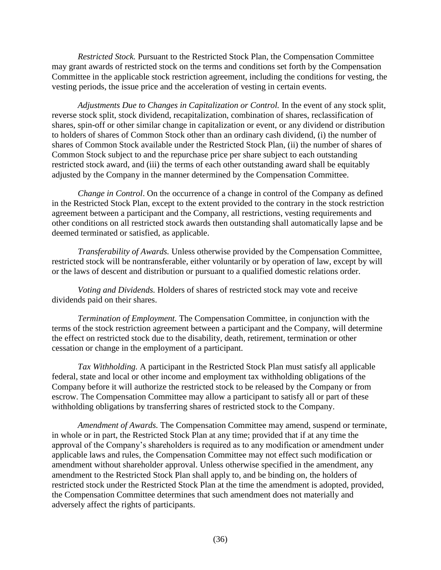*Restricted Stock.* Pursuant to the Restricted Stock Plan, the Compensation Committee may grant awards of restricted stock on the terms and conditions set forth by the Compensation Committee in the applicable stock restriction agreement, including the conditions for vesting, the vesting periods, the issue price and the acceleration of vesting in certain events.

*Adjustments Due to Changes in Capitalization or Control.* In the event of any stock split, reverse stock split, stock dividend, recapitalization, combination of shares, reclassification of shares, spin-off or other similar change in capitalization or event, or any dividend or distribution to holders of shares of Common Stock other than an ordinary cash dividend, (i) the number of shares of Common Stock available under the Restricted Stock Plan, (ii) the number of shares of Common Stock subject to and the repurchase price per share subject to each outstanding restricted stock award, and (iii) the terms of each other outstanding award shall be equitably adjusted by the Company in the manner determined by the Compensation Committee.

*Change in Control*. On the occurrence of a change in control of the Company as defined in the Restricted Stock Plan, except to the extent provided to the contrary in the stock restriction agreement between a participant and the Company, all restrictions, vesting requirements and other conditions on all restricted stock awards then outstanding shall automatically lapse and be deemed terminated or satisfied, as applicable.

*Transferability of Awards.* Unless otherwise provided by the Compensation Committee, restricted stock will be nontransferable, either voluntarily or by operation of law, except by will or the laws of descent and distribution or pursuant to a qualified domestic relations order.

*Voting and Dividends.* Holders of shares of restricted stock may vote and receive dividends paid on their shares.

*Termination of Employment.* The Compensation Committee, in conjunction with the terms of the stock restriction agreement between a participant and the Company, will determine the effect on restricted stock due to the disability, death, retirement, termination or other cessation or change in the employment of a participant.

*Tax Withholding.* A participant in the Restricted Stock Plan must satisfy all applicable federal, state and local or other income and employment tax withholding obligations of the Company before it will authorize the restricted stock to be released by the Company or from escrow. The Compensation Committee may allow a participant to satisfy all or part of these withholding obligations by transferring shares of restricted stock to the Company.

*Amendment of Awards.* The Compensation Committee may amend, suspend or terminate, in whole or in part, the Restricted Stock Plan at any time; provided that if at any time the approval of the Company's shareholders is required as to any modification or amendment under applicable laws and rules, the Compensation Committee may not effect such modification or amendment without shareholder approval. Unless otherwise specified in the amendment, any amendment to the Restricted Stock Plan shall apply to, and be binding on, the holders of restricted stock under the Restricted Stock Plan at the time the amendment is adopted, provided, the Compensation Committee determines that such amendment does not materially and adversely affect the rights of participants.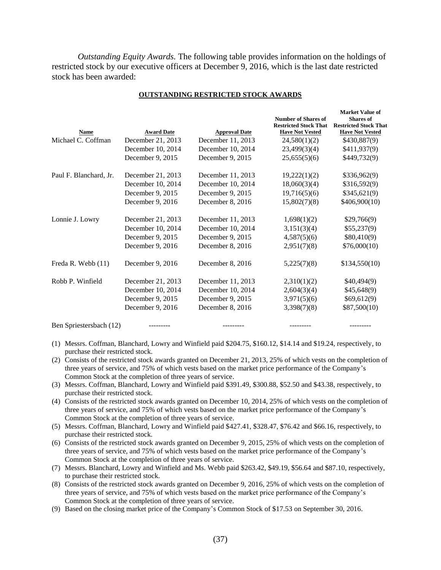*Outstanding Equity Awards.* The following table provides information on the holdings of restricted stock by our executive officers at December 9, 2016, which is the last date restricted stock has been awarded:

| <b>Award Date</b><br><b>Approval Date</b><br>Name<br><b>Have Not Vested</b><br>Michael C. Coffman<br>December 11, 2013<br>December 21, 2013<br>24,580(1)(2)<br>December 10, 2014<br>December 10, 2014<br>23,499(3)(4)<br>December 9, 2015<br>December 9, 2015<br>25,655(5)(6) | <b>Have Not Vested</b> |
|-------------------------------------------------------------------------------------------------------------------------------------------------------------------------------------------------------------------------------------------------------------------------------|------------------------|
|                                                                                                                                                                                                                                                                               | \$430,887(9)           |
|                                                                                                                                                                                                                                                                               | \$411,937(9)           |
|                                                                                                                                                                                                                                                                               | \$449,732(9)           |
| December 11, 2013<br>19,222(1)(2)<br>Paul F. Blanchard, Jr.<br>December 21, 2013                                                                                                                                                                                              | \$336,962(9)           |
| December 10, 2014<br>December 10, 2014<br>18,060(3)(4)                                                                                                                                                                                                                        | \$316,592(9)           |
| December 9, 2015<br>December 9, 2015<br>19,716(5)(6)                                                                                                                                                                                                                          | \$345,621(9)           |
| December 9, 2016<br>December 8, 2016<br>15,802(7)(8)                                                                                                                                                                                                                          | \$406,900(10)          |
| Lonnie J. Lowry<br>December 21, 2013<br>December 11, 2013<br>1,698(1)(2)                                                                                                                                                                                                      | \$29,766(9)            |
| December 10, 2014<br>3,151(3)(4)<br>December 10, 2014                                                                                                                                                                                                                         | \$55,237(9)            |
| December 9, 2015<br>December 9, 2015<br>4,587(5)(6)                                                                                                                                                                                                                           | \$80,410(9)            |
| December 9, 2016<br>December 8, 2016<br>2,951(7)(8)                                                                                                                                                                                                                           | \$76,000(10)           |
| Freda R. Webb (11)<br>December 9, 2016<br>December 8, 2016<br>5,225(7)(8)                                                                                                                                                                                                     | \$134,550(10)          |
| Robb P. Winfield<br>December 21, 2013<br>December 11, 2013<br>2,310(1)(2)                                                                                                                                                                                                     | \$40,494(9)            |
| December 10, 2014<br>December 10, 2014<br>2,604(3)(4)                                                                                                                                                                                                                         | \$45,648(9)            |
| December 9, 2015<br>December 9, 2015<br>3,971(5)(6)                                                                                                                                                                                                                           | \$69,612(9)            |
| December 9, 2016<br>December 8, 2016<br>3,398(7)(8)                                                                                                                                                                                                                           | \$87,500(10)           |

#### **OUTSTANDING RESTRICTED STOCK AWARDS**

Ben Spriestersbach (12) --------- --------- --------- ---------

(1) Messrs. Coffman, Blanchard, Lowry and Winfield paid \$204.75, \$160.12, \$14.14 and \$19.24, respectively, to purchase their restricted stock.

(2) Consists of the restricted stock awards granted on December 21, 2013, 25% of which vests on the completion of three years of service, and 75% of which vests based on the market price performance of the Company's Common Stock at the completion of three years of service.

- (3) Messrs. Coffman, Blanchard, Lowry and Winfield paid \$391.49, \$300.88, \$52.50 and \$43.38, respectively, to purchase their restricted stock.
- (4) Consists of the restricted stock awards granted on December 10, 2014, 25% of which vests on the completion of three years of service, and 75% of which vests based on the market price performance of the Company's Common Stock at the completion of three years of service.
- (5) Messrs. Coffman, Blanchard, Lowry and Winfield paid \$427.41, \$328.47, \$76.42 and \$66.16, respectively, to purchase their restricted stock.
- (6) Consists of the restricted stock awards granted on December 9, 2015, 25% of which vests on the completion of three years of service, and 75% of which vests based on the market price performance of the Company's Common Stock at the completion of three years of service.
- (7) Messrs. Blanchard, Lowry and Winfield and Ms. Webb paid \$263.42, \$49.19, \$56.64 and \$87.10, respectively, to purchase their restricted stock.
- (8) Consists of the restricted stock awards granted on December 9, 2016, 25% of which vests on the completion of three years of service, and 75% of which vests based on the market price performance of the Company's Common Stock at the completion of three years of service.
- (9) Based on the closing market price of the Company's Common Stock of \$17.53 on September 30, 2016.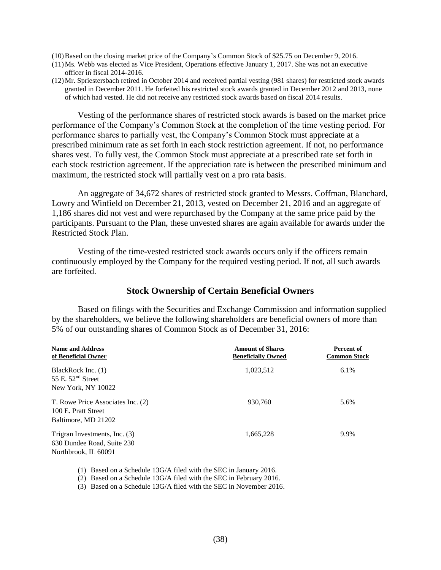- (10)Based on the closing market price of the Company's Common Stock of \$25.75 on December 9, 2016.
- (11)Ms. Webb was elected as Vice President, Operations effective January 1, 2017. She was not an executive officer in fiscal 2014-2016.
- (12)Mr. Spriestersbach retired in October 2014 and received partial vesting (981 shares) for restricted stock awards granted in December 2011. He forfeited his restricted stock awards granted in December 2012 and 2013, none of which had vested. He did not receive any restricted stock awards based on fiscal 2014 results.

Vesting of the performance shares of restricted stock awards is based on the market price performance of the Company's Common Stock at the completion of the time vesting period. For performance shares to partially vest, the Company's Common Stock must appreciate at a prescribed minimum rate as set forth in each stock restriction agreement. If not, no performance shares vest. To fully vest, the Common Stock must appreciate at a prescribed rate set forth in each stock restriction agreement. If the appreciation rate is between the prescribed minimum and maximum, the restricted stock will partially vest on a pro rata basis.

An aggregate of 34,672 shares of restricted stock granted to Messrs. Coffman, Blanchard, Lowry and Winfield on December 21, 2013, vested on December 21, 2016 and an aggregate of 1,186 shares did not vest and were repurchased by the Company at the same price paid by the participants. Pursuant to the Plan, these unvested shares are again available for awards under the Restricted Stock Plan.

Vesting of the time-vested restricted stock awards occurs only if the officers remain continuously employed by the Company for the required vesting period. If not, all such awards are forfeited.

### <span id="page-39-0"></span>**Stock Ownership of Certain Beneficial Owners**

Based on filings with the Securities and Exchange Commission and information supplied by the shareholders, we believe the following shareholders are beneficial owners of more than 5% of our outstanding shares of Common Stock as of December 31, 2016:

| <b>Name and Address</b><br>of Beneficial Owner                                      | <b>Amount of Shares</b><br><b>Beneficially Owned</b> | Percent of<br><b>Common Stock</b> |
|-------------------------------------------------------------------------------------|------------------------------------------------------|-----------------------------------|
| BlackRock Inc. (1)<br>55 E. $52nd$ Street                                           | 1,023,512                                            | 6.1%                              |
| New York, NY 10022                                                                  |                                                      |                                   |
| T. Rowe Price Associates Inc. (2)<br>100 E. Pratt Street                            | 930.760                                              | 5.6%                              |
| Baltimore, MD 21202                                                                 |                                                      |                                   |
| Trigran Investments, Inc. (3)<br>630 Dundee Road, Suite 230<br>Northbrook, IL 60091 | 1,665,228                                            | 9.9%                              |

(1) Based on a Schedule 13G/A filed with the SEC in January 2016.

(2) Based on a Schedule 13G/A filed with the SEC in February 2016.

(3) Based on a Schedule 13G/A filed with the SEC in November 2016.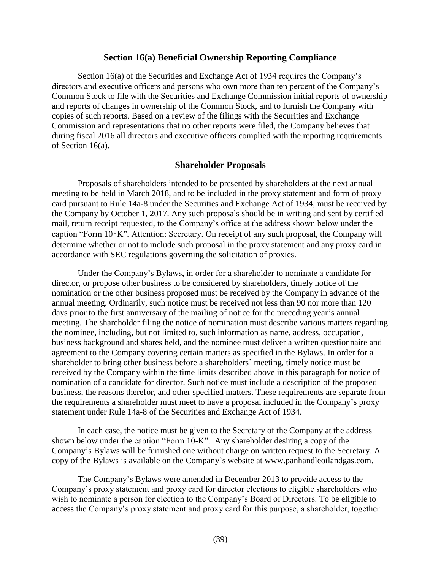#### <span id="page-40-0"></span>**Section 16(a) Beneficial Ownership Reporting Compliance**

Section 16(a) of the Securities and Exchange Act of 1934 requires the Company's directors and executive officers and persons who own more than ten percent of the Company's Common Stock to file with the Securities and Exchange Commission initial reports of ownership and reports of changes in ownership of the Common Stock, and to furnish the Company with copies of such reports. Based on a review of the filings with the Securities and Exchange Commission and representations that no other reports were filed, the Company believes that during fiscal 2016 all directors and executive officers complied with the reporting requirements of Section 16(a).

#### <span id="page-40-1"></span>**Shareholder Proposals**

Proposals of shareholders intended to be presented by shareholders at the next annual meeting to be held in March 2018, and to be included in the proxy statement and form of proxy card pursuant to Rule 14a-8 under the Securities and Exchange Act of 1934, must be received by the Company by October 1, 2017. Any such proposals should be in writing and sent by certified mail, return receipt requested, to the Company's office at the address shown below under the caption "Form 10‑K", Attention: Secretary. On receipt of any such proposal, the Company will determine whether or not to include such proposal in the proxy statement and any proxy card in accordance with SEC regulations governing the solicitation of proxies.

Under the Company's Bylaws, in order for a shareholder to nominate a candidate for director, or propose other business to be considered by shareholders, timely notice of the nomination or the other business proposed must be received by the Company in advance of the annual meeting. Ordinarily, such notice must be received not less than 90 nor more than 120 days prior to the first anniversary of the mailing of notice for the preceding year's annual meeting. The shareholder filing the notice of nomination must describe various matters regarding the nominee, including, but not limited to, such information as name, address, occupation, business background and shares held, and the nominee must deliver a written questionnaire and agreement to the Company covering certain matters as specified in the Bylaws. In order for a shareholder to bring other business before a shareholders' meeting, timely notice must be received by the Company within the time limits described above in this paragraph for notice of nomination of a candidate for director. Such notice must include a description of the proposed business, the reasons therefor, and other specified matters. These requirements are separate from the requirements a shareholder must meet to have a proposal included in the Company's proxy statement under Rule 14a-8 of the Securities and Exchange Act of 1934.

In each case, the notice must be given to the Secretary of the Company at the address shown below under the caption "Form 10-K". Any shareholder desiring a copy of the Company's Bylaws will be furnished one without charge on written request to the Secretary. A copy of the Bylaws is available on the Company's website at www.panhandleoilandgas.com.

The Company's Bylaws were amended in December 2013 to provide access to the Company's proxy statement and proxy card for director elections to eligible shareholders who wish to nominate a person for election to the Company's Board of Directors. To be eligible to access the Company's proxy statement and proxy card for this purpose, a shareholder, together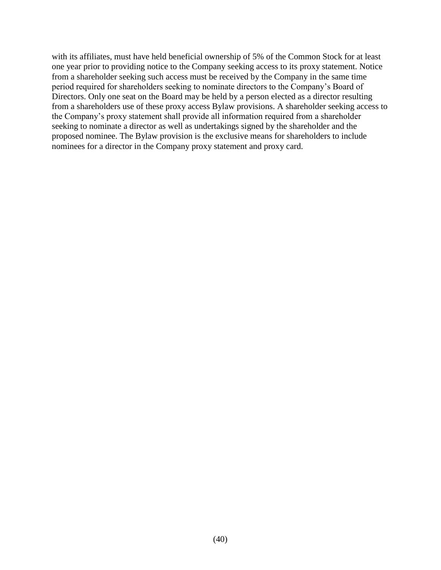with its affiliates, must have held beneficial ownership of 5% of the Common Stock for at least one year prior to providing notice to the Company seeking access to its proxy statement. Notice from a shareholder seeking such access must be received by the Company in the same time period required for shareholders seeking to nominate directors to the Company's Board of Directors. Only one seat on the Board may be held by a person elected as a director resulting from a shareholders use of these proxy access Bylaw provisions. A shareholder seeking access to the Company's proxy statement shall provide all information required from a shareholder seeking to nominate a director as well as undertakings signed by the shareholder and the proposed nominee. The Bylaw provision is the exclusive means for shareholders to include nominees for a director in the Company proxy statement and proxy card.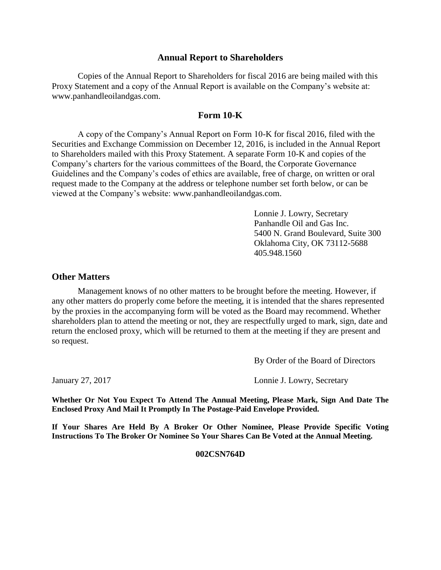### **Annual Report to Shareholders**

Copies of the Annual Report to Shareholders for fiscal 2016 are being mailed with this Proxy Statement and a copy of the Annual Report is available on the Company's website at: www.panhandleoilandgas.com.

## <span id="page-42-1"></span><span id="page-42-0"></span>**Form 10-K**

A copy of the Company's Annual Report on Form 10-K for fiscal 2016, filed with the Securities and Exchange Commission on December 12, 2016, is included in the Annual Report to Shareholders mailed with this Proxy Statement. A separate Form 10-K and copies of the Company's charters for the various committees of the Board, the Corporate Governance Guidelines and the Company's codes of ethics are available, free of charge, on written or oral request made to the Company at the address or telephone number set forth below, or can be viewed at the Company's website: [www.panhandleoilandgas.com.](http://www.panhandleoilandgas.com/)

> Lonnie J. Lowry, Secretary Panhandle Oil and Gas Inc. 5400 N. Grand Boulevard, Suite 300 Oklahoma City, OK 73112-5688 405.948.1560

## <span id="page-42-2"></span>**Other Matters**

Management knows of no other matters to be brought before the meeting. However, if any other matters do properly come before the meeting, it is intended that the shares represented by the proxies in the accompanying form will be voted as the Board may recommend. Whether shareholders plan to attend the meeting or not, they are respectfully urged to mark, sign, date and return the enclosed proxy, which will be returned to them at the meeting if they are present and so request.

By Order of the Board of Directors

January 27, 2017 Lonnie J. Lowry, Secretary

**Whether Or Not You Expect To Attend The Annual Meeting, Please Mark, Sign And Date The Enclosed Proxy And Mail It Promptly In The Postage-Paid Envelope Provided.**

**If Your Shares Are Held By A Broker Or Other Nominee, Please Provide Specific Voting Instructions To The Broker Or Nominee So Your Shares Can Be Voted at the Annual Meeting.**

#### **002CSN764D**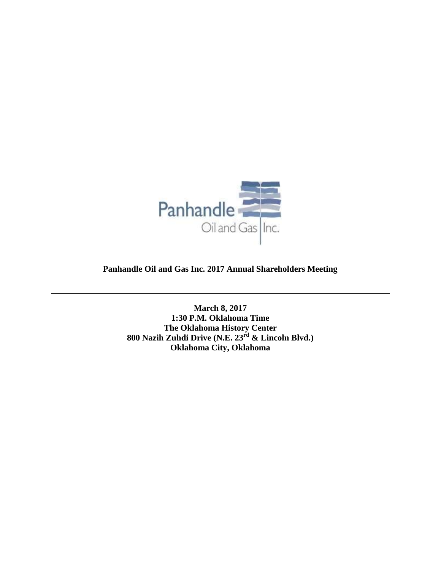

**Panhandle Oil and Gas Inc. 2017 Annual Shareholders Meeting**

**March 8, 2017 1:30 P.M. Oklahoma Time The Oklahoma History Center 800 Nazih Zuhdi Drive (N.E. 23rd & Lincoln Blvd.) Oklahoma City, Oklahoma**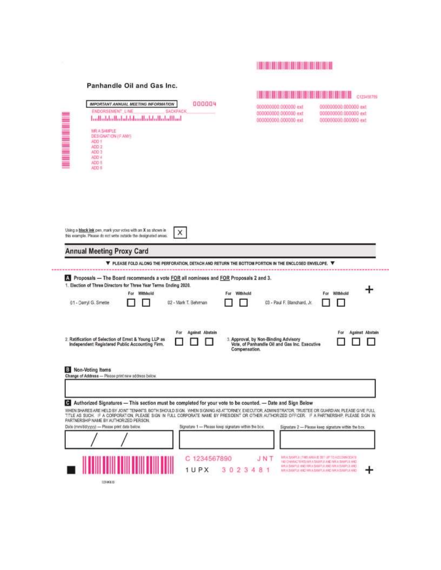# **TENNIS AND ARRAIGNMENT**

#### Panhandle Oil and Gas Inc.

|                                                                                                                                                                                                                                                                                                     | 18 X 8 18 18 18 3 8 8 18 18 18 18 18 1<br>C120456785                                                   |                                                                                                                                                                                                      |  |
|-----------------------------------------------------------------------------------------------------------------------------------------------------------------------------------------------------------------------------------------------------------------------------------------------------|--------------------------------------------------------------------------------------------------------|------------------------------------------------------------------------------------------------------------------------------------------------------------------------------------------------------|--|
| 000004<br>IMPORTANT ANNUAL MEETING INFORMATION<br>ENDORSEMENT LINE<br><b>SACKPACK</b><br><b>THE REAL PROPERTY AND</b><br>ballabbilishdabbballabbilishdibal<br>MR A SAMPLE<br>DESIGNATION (F. ANY)<br>ADD 1<br>ADD 2<br>ADD 3<br>ADD 4<br>ADO 5<br>ADO E                                             | 000000000.000000 ext<br>000000000 000000 ext<br>000000000.000000 ext.                                  | 000000000.000000 ext<br>000000000.000000 ext<br>000000000.000000 ext                                                                                                                                 |  |
| Using a black ink pen, mark your votes with an X as alsown in<br>X<br>this example. Please do not write outside the designated areas.                                                                                                                                                               |                                                                                                        |                                                                                                                                                                                                      |  |
| <b>Annual Meeting Proxy Card</b>                                                                                                                                                                                                                                                                    |                                                                                                        |                                                                                                                                                                                                      |  |
| ▼ PLEASE FOLD ALONG THE PERFORATION, DETACH AND RETURN THE BOTTOM PORTION IN THE ENCLOSED ENVELOPE. ▼                                                                                                                                                                                               |                                                                                                        |                                                                                                                                                                                                      |  |
| Proposals - The Board recommends a vote FOR all nominees and FOR Proposals 2 and 3.<br>1. Election of Three Directors for Three Year Terms Ending 2020.<br>For Withhold<br>For Withhold<br>01 - Danyl G. Smette<br>02 - Mark T. Behman                                                              | 03 - Paul F. Blanchard, Jr.                                                                            | Withhold<br>For                                                                                                                                                                                      |  |
| Against Abstain<br>For<br>2. Ratification of Selection of Ernst & Young LLP as<br>Independent Registered Public Accounting Firm.                                                                                                                                                                    | 3. Approval, by Non-Binding Advisory<br>Vote, of Panhandle Oil and Gas Inc. Executive<br>Compensation. | <b>Against Abstain</b><br>For                                                                                                                                                                        |  |
| <b>B</b> Non-Voting Items                                                                                                                                                                                                                                                                           |                                                                                                        |                                                                                                                                                                                                      |  |
| Change of Address - Please print new address below.                                                                                                                                                                                                                                                 |                                                                                                        |                                                                                                                                                                                                      |  |
| Authorized Signatures -- This section must be completed for your vote to be counted. -- Date and Sign Below                                                                                                                                                                                         |                                                                                                        |                                                                                                                                                                                                      |  |
| WHEN SHARES ARE HELD BY JOINT TENANTS, BOTH SHOULD SIGN, WHEN SIGNING AS ATTORNEY, EXECUTOR, ADMINISTRATOR, TRUSTEE OR GUARDIAN, PLEASE GIVE FULL<br>TITLE AS SUCH. IF A CORPORATION, PLEASE SIGN IN FULL CORPORATE NAME BY PRESIDENT OR OTHER AUTHORIZED OFFICER. IF A PARTNERSHIP, PLEASE SIGN IN |                                                                                                        |                                                                                                                                                                                                      |  |
| PARTNERSHP NAME BY AUTHORIZED PERSON.<br>Date (mm/dd/yyyy) - Please print date below.<br>Signature 1 - Please keep signature within the box.                                                                                                                                                        |                                                                                                        | Signature 2 - Please keep signature within the box.                                                                                                                                                  |  |
|                                                                                                                                                                                                                                                                                                     |                                                                                                        |                                                                                                                                                                                                      |  |
|                                                                                                                                                                                                                                                                                                     |                                                                                                        |                                                                                                                                                                                                      |  |
| C 1234567890<br>1UPX                                                                                                                                                                                                                                                                                | JNT<br>3 0 2 3 4 8 1                                                                                   | MEA SAMPLE CFIRE AVEILE BET UP TO ACCOMMODATE.<br>ON EPIXER A WE ON A SAMPLE AND STATEMENT.<br>MAILBANTUL HND MAILBANTUL AND MAILBANTUL AND<br>BER A DUSTIN AND HAV A RANO'LE AND NHUVE BAND E AND - |  |
| <b>ISHKEB</b>                                                                                                                                                                                                                                                                                       |                                                                                                        |                                                                                                                                                                                                      |  |